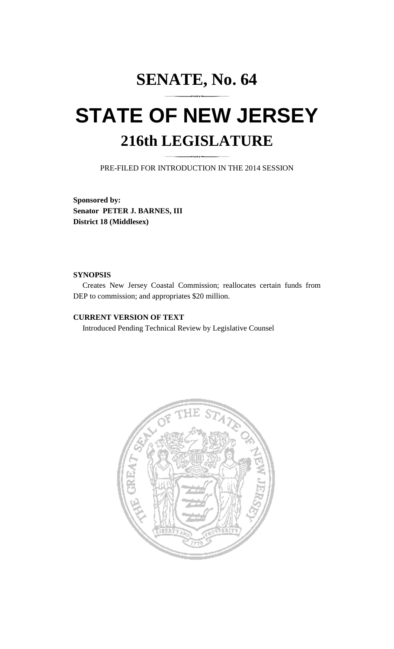# **SENATE, No. 64**

# **STATE OF NEW JERSEY 216th LEGISLATURE**

PRE-FILED FOR INTRODUCTION IN THE 2014 SESSION

**Sponsored by: Senator PETER J. BARNES, III District 18 (Middlesex)** 

#### **SYNOPSIS**

 Creates New Jersey Coastal Commission; reallocates certain funds from DEP to commission; and appropriates \$20 million.

### **CURRENT VERSION OF TEXT**

Introduced Pending Technical Review by Legislative Counsel

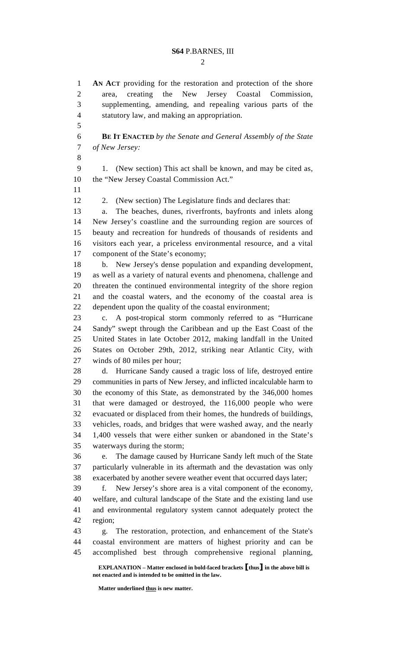$\mathcal{D}_{\mathcal{L}}$ 

1 **AN ACT** providing for the restoration and protection of the shore 2 area, creating the New Jersey Coastal Commission, 3 supplementing, amending, and repealing various parts of the

4 statutory law, and making an appropriation. 5 6 **BE IT ENACTED** *by the Senate and General Assembly of the State*  7 *of New Jersey:* 8 9 1. (New section) This act shall be known, and may be cited as, 10 the "New Jersey Coastal Commission Act." 11 12 2. (New section) The Legislature finds and declares that: 13 a. The beaches, dunes, riverfronts, bayfronts and inlets along 14 New Jersey's coastline and the surrounding region are sources of 15 beauty and recreation for hundreds of thousands of residents and 16 visitors each year, a priceless environmental resource, and a vital 17 component of the State's economy; 18 b. New Jersey's dense population and expanding development, 19 as well as a variety of natural events and phenomena, challenge and 20 threaten the continued environmental integrity of the shore region 21 and the coastal waters, and the economy of the coastal area is 22 dependent upon the quality of the coastal environment; 23 c. A post-tropical storm commonly referred to as "Hurricane 24 Sandy" swept through the Caribbean and up the East Coast of the 25 United States in late October 2012, making landfall in the United 26 States on October 29th, 2012, striking near Atlantic City, with 27 winds of 80 miles per hour; 28 d. Hurricane Sandy caused a tragic loss of life, destroyed entire 29 communities in parts of New Jersey, and inflicted incalculable harm to 30 the economy of this State, as demonstrated by the 346,000 homes 31 that were damaged or destroyed, the 116,000 people who were 32 evacuated or displaced from their homes, the hundreds of buildings, 33 vehicles, roads, and bridges that were washed away, and the nearly 34 1,400 vessels that were either sunken or abandoned in the State's

35 waterways during the storm;

36 e. The damage caused by Hurricane Sandy left much of the State 37 particularly vulnerable in its aftermath and the devastation was only 38 exacerbated by another severe weather event that occurred days later;

39 f. New Jersey's shore area is a vital component of the economy, 40 welfare, and cultural landscape of the State and the existing land use 41 and environmental regulatory system cannot adequately protect the 42 region;

43 g. The restoration, protection, and enhancement of the State's 44 coastal environment are matters of highest priority and can be 45 accomplished best through comprehensive regional planning,

 **EXPLANATION – Matter enclosed in bold-faced brackets** [**thus**] **in the above bill is not enacted and is intended to be omitted in the law.** 

**Matter underlined thus is new matter.**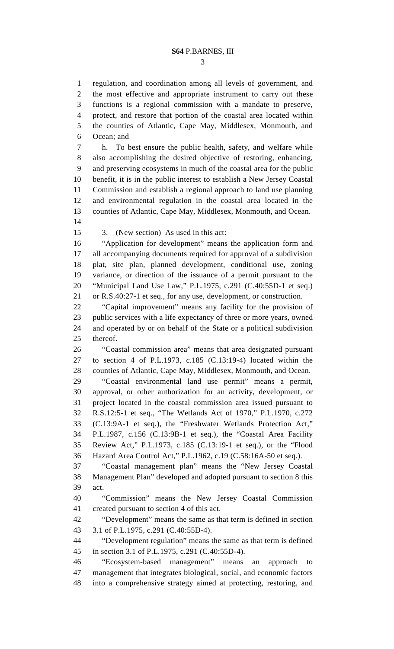3

1 regulation, and coordination among all levels of government, and

2 the most effective and appropriate instrument to carry out these 3 functions is a regional commission with a mandate to preserve, 4 protect, and restore that portion of the coastal area located within 5 the counties of Atlantic, Cape May, Middlesex, Monmouth, and 6 Ocean; and 7 h. To best ensure the public health, safety, and welfare while 8 also accomplishing the desired objective of restoring, enhancing, 9 and preserving ecosystems in much of the coastal area for the public 10 benefit, it is in the public interest to establish a New Jersey Coastal 11 Commission and establish a regional approach to land use planning 12 and environmental regulation in the coastal area located in the 13 counties of Atlantic, Cape May, Middlesex, Monmouth, and Ocean. 14 15 3. (New section) As used in this act: 16 "Application for development" means the application form and 17 all accompanying documents required for approval of a subdivision 18 plat, site plan, planned development, conditional use, zoning 19 variance, or direction of the issuance of a permit pursuant to the 20 "Municipal Land Use Law," P.L.1975, c.291 (C.40:55D-1 et seq.) 21 or R.S.40:27-1 et seq., for any use, development, or construction. 22 "Capital improvement" means any facility for the provision of 23 public services with a life expectancy of three or more years, owned 24 and operated by or on behalf of the State or a political subdivision 25 thereof. 26 "Coastal commission area" means that area designated pursuant 27 to section 4 of P.L.1973, c.185 (C.13:19-4) located within the 28 counties of Atlantic, Cape May, Middlesex, Monmouth, and Ocean. 29 "Coastal environmental land use permit" means a permit, 30 approval, or other authorization for an activity, development, or 31 project located in the coastal commission area issued pursuant to 32 R.S.12:5-1 et seq., "The Wetlands Act of 1970," P.L.1970, c.272 33 (C.13:9A-1 et seq.), the "Freshwater Wetlands Protection Act," 34 P.L.1987, c.156 (C.13:9B-1 et seq.), the "Coastal Area Facility 35 Review Act," P.L.1973, c.185 (C.13:19-1 et seq.), or the "Flood 36 Hazard Area Control Act," P.L.1962, c.19 (C.58:16A-50 et seq.). 37 "Coastal management plan" means the "New Jersey Coastal 38 Management Plan" developed and adopted pursuant to section 8 this 39 act. 40 "Commission" means the New Jersey Coastal Commission 41 created pursuant to section 4 of this act. 42 "Development" means the same as that term is defined in section 43 3.1 of P.L.1975, c.291 (C.40:55D-4). 44 "Development regulation" means the same as that term is defined 45 in section 3.1 of P.L.1975, c.291 (C.40:55D-4). 46 "Ecosystem-based management" means an approach to 47 management that integrates biological, social, and economic factors 48 into a comprehensive strategy aimed at protecting, restoring, and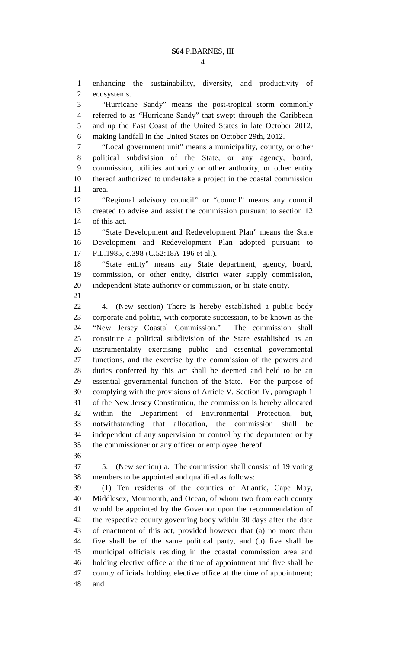1 enhancing the sustainability, diversity, and productivity of

2 ecosystems.

3 "Hurricane Sandy" means the post-tropical storm commonly 4 referred to as "Hurricane Sandy" that swept through the Caribbean 5 and up the East Coast of the United States in late October 2012, 6 making landfall in the United States on October 29th, 2012. 7 "Local government unit" means a municipality, county, or other 8 political subdivision of the State, or any agency, board, 9 commission, utilities authority or other authority, or other entity 10 thereof authorized to undertake a project in the coastal commission 11 area. 12 "Regional advisory council" or "council" means any council 13 created to advise and assist the commission pursuant to section 12 14 of this act. 15 "State Development and Redevelopment Plan" means the State 16 Development and Redevelopment Plan adopted pursuant to 17 P.L.1985, c.398 (C.52:18A-196 et al.). 18 "State entity" means any State department, agency, board, 19 commission, or other entity, district water supply commission, 20 independent State authority or commission, or bi-state entity. 21 22 4. (New section) There is hereby established a public body 23 corporate and politic, with corporate succession, to be known as the 24 "New Jersey Coastal Commission." The commission shall 25 constitute a political subdivision of the State established as an 26 instrumentality exercising public and essential governmental 27 functions, and the exercise by the commission of the powers and 28 duties conferred by this act shall be deemed and held to be an 29 essential governmental function of the State. For the purpose of 30 complying with the provisions of Article V, Section IV, paragraph 1 31 of the New Jersey Constitution, the commission is hereby allocated 32 within the Department of Environmental Protection, but, 33 notwithstanding that allocation, the commission shall be 34 independent of any supervision or control by the department or by 35 the commissioner or any officer or employee thereof. 36 37 5. (New section) a. The commission shall consist of 19 voting 38 members to be appointed and qualified as follows: 39 (1) Ten residents of the counties of Atlantic, Cape May, 40 Middlesex, Monmouth, and Ocean, of whom two from each county 41 would be appointed by the Governor upon the recommendation of 42 the respective county governing body within 30 days after the date 43 of enactment of this act, provided however that (a) no more than 44 five shall be of the same political party, and (b) five shall be 45 municipal officials residing in the coastal commission area and 46 holding elective office at the time of appointment and five shall be 47 county officials holding elective office at the time of appointment; 48 and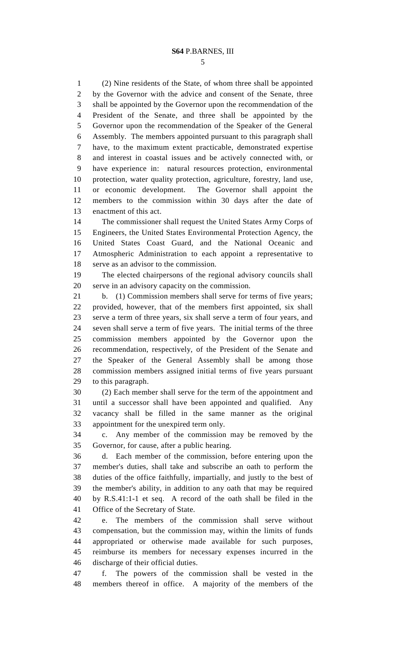1 (2) Nine residents of the State, of whom three shall be appointed 2 by the Governor with the advice and consent of the Senate, three 3 shall be appointed by the Governor upon the recommendation of the 4 President of the Senate, and three shall be appointed by the 5 Governor upon the recommendation of the Speaker of the General 6 Assembly. The members appointed pursuant to this paragraph shall 7 have, to the maximum extent practicable, demonstrated expertise 8 and interest in coastal issues and be actively connected with, or 9 have experience in: natural resources protection, environmental 10 protection, water quality protection, agriculture, forestry, land use, 11 or economic development. The Governor shall appoint the 12 members to the commission within 30 days after the date of 13 enactment of this act.

14 The commissioner shall request the United States Army Corps of 15 Engineers, the United States Environmental Protection Agency, the 16 United States Coast Guard, and the National Oceanic and 17 Atmospheric Administration to each appoint a representative to 18 serve as an advisor to the commission.

19 The elected chairpersons of the regional advisory councils shall 20 serve in an advisory capacity on the commission.

21 b. (1) Commission members shall serve for terms of five years; 22 provided, however, that of the members first appointed, six shall 23 serve a term of three years, six shall serve a term of four years, and 24 seven shall serve a term of five years. The initial terms of the three 25 commission members appointed by the Governor upon the 26 recommendation, respectively, of the President of the Senate and 27 the Speaker of the General Assembly shall be among those 28 commission members assigned initial terms of five years pursuant 29 to this paragraph.

30 (2) Each member shall serve for the term of the appointment and 31 until a successor shall have been appointed and qualified. Any 32 vacancy shall be filled in the same manner as the original 33 appointment for the unexpired term only.

34 c. Any member of the commission may be removed by the 35 Governor, for cause, after a public hearing.

36 d. Each member of the commission, before entering upon the 37 member's duties, shall take and subscribe an oath to perform the 38 duties of the office faithfully, impartially, and justly to the best of 39 the member's ability, in addition to any oath that may be required 40 by R.S.41:1-1 et seq. A record of the oath shall be filed in the 41 Office of the Secretary of State.

42 e. The members of the commission shall serve without 43 compensation, but the commission may, within the limits of funds 44 appropriated or otherwise made available for such purposes, 45 reimburse its members for necessary expenses incurred in the 46 discharge of their official duties.

47 f. The powers of the commission shall be vested in the 48 members thereof in office. A majority of the members of the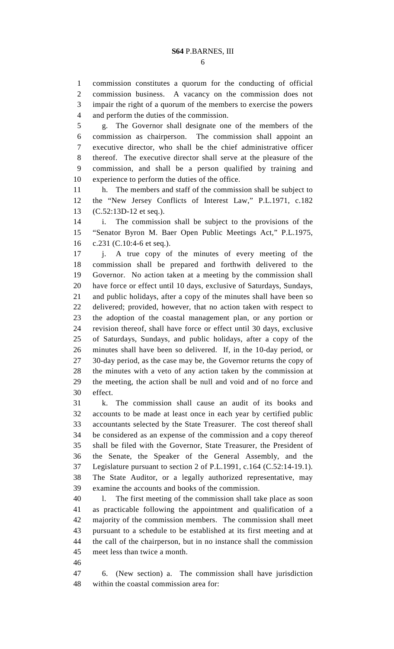1 commission constitutes a quorum for the conducting of official 2 commission business. A vacancy on the commission does not 3 impair the right of a quorum of the members to exercise the powers 4 and perform the duties of the commission.

5 g. The Governor shall designate one of the members of the 6 commission as chairperson. The commission shall appoint an 7 executive director, who shall be the chief administrative officer 8 thereof. The executive director shall serve at the pleasure of the 9 commission, and shall be a person qualified by training and 10 experience to perform the duties of the office.

11 h. The members and staff of the commission shall be subject to 12 the "New Jersey Conflicts of Interest Law," P.L.1971, c.182 13 (C.52:13D-12 et seq.).

14 i. The commission shall be subject to the provisions of the 15 "Senator Byron M. Baer Open Public Meetings Act," P.L.1975, 16 c.231 (C.10:4-6 et seq.).

17 j. A true copy of the minutes of every meeting of the 18 commission shall be prepared and forthwith delivered to the 19 Governor. No action taken at a meeting by the commission shall 20 have force or effect until 10 days, exclusive of Saturdays, Sundays, 21 and public holidays, after a copy of the minutes shall have been so 22 delivered; provided, however, that no action taken with respect to 23 the adoption of the coastal management plan, or any portion or 24 revision thereof, shall have force or effect until 30 days, exclusive 25 of Saturdays, Sundays, and public holidays, after a copy of the 26 minutes shall have been so delivered. If, in the 10-day period, or 27 30-day period, as the case may be, the Governor returns the copy of 28 the minutes with a veto of any action taken by the commission at 29 the meeting, the action shall be null and void and of no force and 30 effect.

31 k. The commission shall cause an audit of its books and 32 accounts to be made at least once in each year by certified public 33 accountants selected by the State Treasurer. The cost thereof shall 34 be considered as an expense of the commission and a copy thereof 35 shall be filed with the Governor, State Treasurer, the President of 36 the Senate, the Speaker of the General Assembly, and the 37 Legislature pursuant to section 2 of P.L.1991, c.164 (C.52:14-19.1). 38 The State Auditor, or a legally authorized representative, may 39 examine the accounts and books of the commission.

40 l. The first meeting of the commission shall take place as soon 41 as practicable following the appointment and qualification of a 42 majority of the commission members. The commission shall meet 43 pursuant to a schedule to be established at its first meeting and at 44 the call of the chairperson, but in no instance shall the commission 45 meet less than twice a month.

46

47 6. (New section) a. The commission shall have jurisdiction 48 within the coastal commission area for: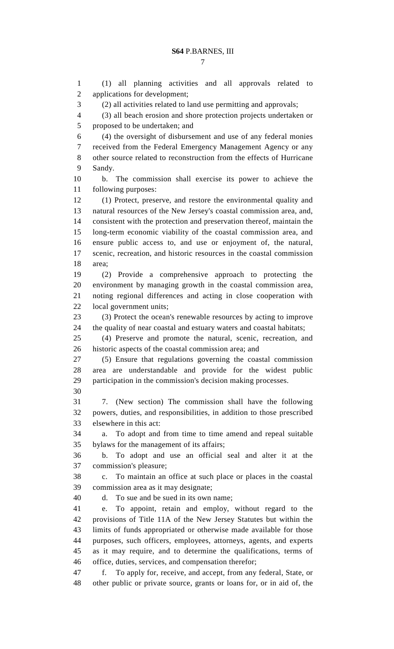1 (1) all planning activities and all approvals related to 2 applications for development; 3 (2) all activities related to land use permitting and approvals; 4 (3) all beach erosion and shore protection projects undertaken or 5 proposed to be undertaken; and 6 (4) the oversight of disbursement and use of any federal monies 7 received from the Federal Emergency Management Agency or any 8 other source related to reconstruction from the effects of Hurricane 9 Sandy. 10 b. The commission shall exercise its power to achieve the 11 following purposes: 12 (1) Protect, preserve, and restore the environmental quality and 13 natural resources of the New Jersey's coastal commission area, and, 14 consistent with the protection and preservation thereof, maintain the 15 long-term economic viability of the coastal commission area, and 16 ensure public access to, and use or enjoyment of, the natural, 17 scenic, recreation, and historic resources in the coastal commission 18 area; 19 (2) Provide a comprehensive approach to protecting the 20 environment by managing growth in the coastal commission area, 21 noting regional differences and acting in close cooperation with 22 local government units; 23 (3) Protect the ocean's renewable resources by acting to improve 24 the quality of near coastal and estuary waters and coastal habitats; 25 (4) Preserve and promote the natural, scenic, recreation, and 26 historic aspects of the coastal commission area; and 27 (5) Ensure that regulations governing the coastal commission 28 area are understandable and provide for the widest public 29 participation in the commission's decision making processes. 30 31 7. (New section) The commission shall have the following 32 powers, duties, and responsibilities, in addition to those prescribed 33 elsewhere in this act: 34 a. To adopt and from time to time amend and repeal suitable 35 bylaws for the management of its affairs; 36 b. To adopt and use an official seal and alter it at the 37 commission's pleasure; 38 c. To maintain an office at such place or places in the coastal 39 commission area as it may designate; 40 d. To sue and be sued in its own name; 41 e. To appoint, retain and employ, without regard to the 42 provisions of Title 11A of the New Jersey Statutes but within the 43 limits of funds appropriated or otherwise made available for those 44 purposes, such officers, employees, attorneys, agents, and experts 45 as it may require, and to determine the qualifications, terms of 46 office, duties, services, and compensation therefor; 47 f. To apply for, receive, and accept, from any federal, State, or

48 other public or private source, grants or loans for, or in aid of, the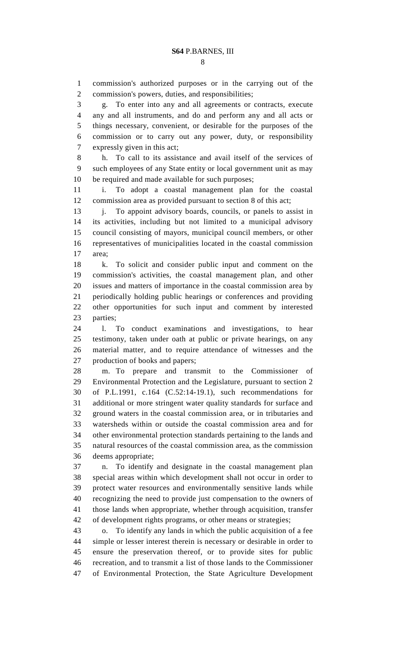1 commission's authorized purposes or in the carrying out of the 2 commission's powers, duties, and responsibilities;

3 g. To enter into any and all agreements or contracts, execute 4 any and all instruments, and do and perform any and all acts or 5 things necessary, convenient, or desirable for the purposes of the 6 commission or to carry out any power, duty, or responsibility 7 expressly given in this act;

8 h. To call to its assistance and avail itself of the services of 9 such employees of any State entity or local government unit as may 10 be required and made available for such purposes;

11 i. To adopt a coastal management plan for the coastal 12 commission area as provided pursuant to section 8 of this act;

13 j. To appoint advisory boards, councils, or panels to assist in 14 its activities, including but not limited to a municipal advisory 15 council consisting of mayors, municipal council members, or other 16 representatives of municipalities located in the coastal commission 17 area;

18 k. To solicit and consider public input and comment on the 19 commission's activities, the coastal management plan, and other 20 issues and matters of importance in the coastal commission area by 21 periodically holding public hearings or conferences and providing 22 other opportunities for such input and comment by interested 23 parties;

24 l. To conduct examinations and investigations, to hear 25 testimony, taken under oath at public or private hearings, on any 26 material matter, and to require attendance of witnesses and the 27 production of books and papers;

28 m. To prepare and transmit to the Commissioner of 29 Environmental Protection and the Legislature, pursuant to section 2 30 of P.L.1991, c.164 (C.52:14-19.1), such recommendations for 31 additional or more stringent water quality standards for surface and 32 ground waters in the coastal commission area, or in tributaries and 33 watersheds within or outside the coastal commission area and for 34 other environmental protection standards pertaining to the lands and 35 natural resources of the coastal commission area, as the commission 36 deems appropriate;

37 n. To identify and designate in the coastal management plan 38 special areas within which development shall not occur in order to 39 protect water resources and environmentally sensitive lands while 40 recognizing the need to provide just compensation to the owners of 41 those lands when appropriate, whether through acquisition, transfer 42 of development rights programs, or other means or strategies;

43 o. To identify any lands in which the public acquisition of a fee 44 simple or lesser interest therein is necessary or desirable in order to 45 ensure the preservation thereof, or to provide sites for public 46 recreation, and to transmit a list of those lands to the Commissioner 47 of Environmental Protection, the State Agriculture Development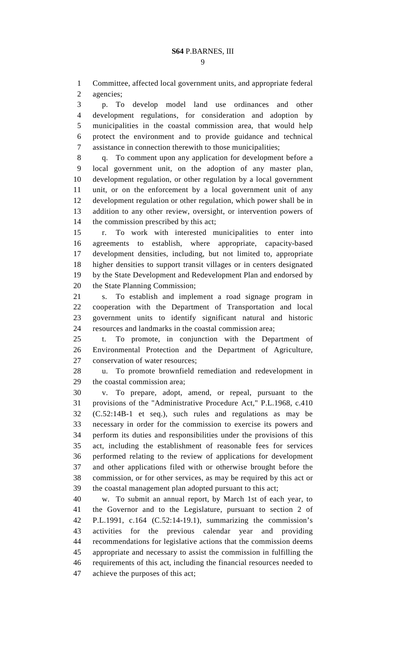1 Committee, affected local government units, and appropriate federal 2 agencies;

3 p. To develop model land use ordinances and other 4 development regulations, for consideration and adoption by 5 municipalities in the coastal commission area, that would help 6 protect the environment and to provide guidance and technical 7 assistance in connection therewith to those municipalities;

8 q. To comment upon any application for development before a 9 local government unit, on the adoption of any master plan, 10 development regulation, or other regulation by a local government 11 unit, or on the enforcement by a local government unit of any 12 development regulation or other regulation, which power shall be in 13 addition to any other review, oversight, or intervention powers of 14 the commission prescribed by this act;

15 r. To work with interested municipalities to enter into 16 agreements to establish, where appropriate, capacity-based 17 development densities, including, but not limited to, appropriate 18 higher densities to support transit villages or in centers designated 19 by the State Development and Redevelopment Plan and endorsed by 20 the State Planning Commission;

21 s. To establish and implement a road signage program in 22 cooperation with the Department of Transportation and local 23 government units to identify significant natural and historic 24 resources and landmarks in the coastal commission area;

25 t. To promote, in conjunction with the Department of 26 Environmental Protection and the Department of Agriculture, 27 conservation of water resources;

28 u. To promote brownfield remediation and redevelopment in 29 the coastal commission area;

30 v. To prepare, adopt, amend, or repeal, pursuant to the 31 provisions of the "Administrative Procedure Act," P.L.1968, c.410 32 (C.52:14B-1 et seq.), such rules and regulations as may be 33 necessary in order for the commission to exercise its powers and 34 perform its duties and responsibilities under the provisions of this 35 act, including the establishment of reasonable fees for services 36 performed relating to the review of applications for development 37 and other applications filed with or otherwise brought before the 38 commission, or for other services, as may be required by this act or 39 the coastal management plan adopted pursuant to this act;

40 w. To submit an annual report, by March 1st of each year, to 41 the Governor and to the Legislature, pursuant to section 2 of 42 P.L.1991, c.164 (C.52:14-19.1), summarizing the commission's 43 activities for the previous calendar year and providing 44 recommendations for legislative actions that the commission deems 45 appropriate and necessary to assist the commission in fulfilling the 46 requirements of this act, including the financial resources needed to 47 achieve the purposes of this act;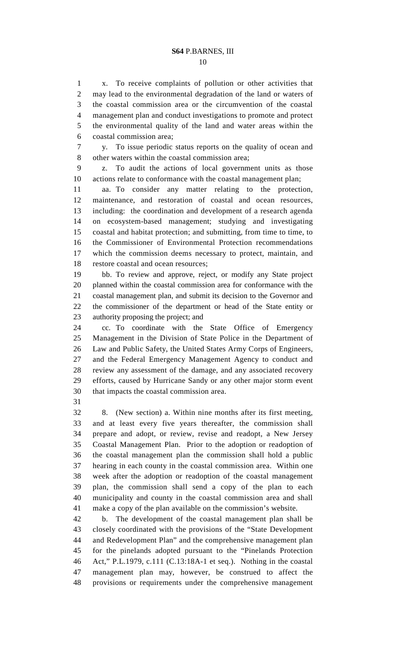10

1 x. To receive complaints of pollution or other activities that 2 may lead to the environmental degradation of the land or waters of 3 the coastal commission area or the circumvention of the coastal 4 management plan and conduct investigations to promote and protect 5 the environmental quality of the land and water areas within the 6 coastal commission area;

7 y. To issue periodic status reports on the quality of ocean and 8 other waters within the coastal commission area;

9 z. To audit the actions of local government units as those 10 actions relate to conformance with the coastal management plan;

11 aa. To consider any matter relating to the protection, 12 maintenance, and restoration of coastal and ocean resources, 13 including: the coordination and development of a research agenda 14 on ecosystem-based management; studying and investigating 15 coastal and habitat protection; and submitting, from time to time, to 16 the Commissioner of Environmental Protection recommendations 17 which the commission deems necessary to protect, maintain, and 18 restore coastal and ocean resources;

19 bb. To review and approve, reject, or modify any State project 20 planned within the coastal commission area for conformance with the 21 coastal management plan, and submit its decision to the Governor and 22 the commissioner of the department or head of the State entity or 23 authority proposing the project; and

24 cc. To coordinate with the State Office of Emergency 25 Management in the Division of State Police in the Department of 26 Law and Public Safety, the United States Army Corps of Engineers, 27 and the Federal Emergency Management Agency to conduct and 28 review any assessment of the damage, and any associated recovery 29 efforts, caused by Hurricane Sandy or any other major storm event 30 that impacts the coastal commission area.

31

32 8. (New section) a. Within nine months after its first meeting, 33 and at least every five years thereafter, the commission shall 34 prepare and adopt, or review, revise and readopt, a New Jersey 35 Coastal Management Plan. Prior to the adoption or readoption of 36 the coastal management plan the commission shall hold a public 37 hearing in each county in the coastal commission area. Within one 38 week after the adoption or readoption of the coastal management 39 plan, the commission shall send a copy of the plan to each 40 municipality and county in the coastal commission area and shall 41 make a copy of the plan available on the commission's website.

42 b. The development of the coastal management plan shall be 43 closely coordinated with the provisions of the "State Development 44 and Redevelopment Plan" and the comprehensive management plan 45 for the pinelands adopted pursuant to the "Pinelands Protection 46 Act," P.L.1979, c.111 (C.13:18A-1 et seq.). Nothing in the coastal 47 management plan may, however, be construed to affect the 48 provisions or requirements under the comprehensive management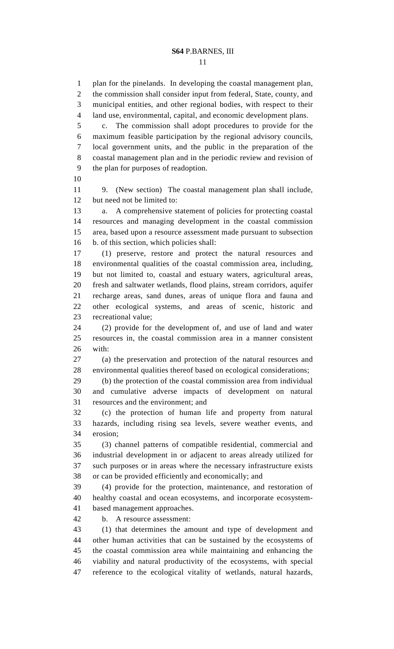11

1 plan for the pinelands. In developing the coastal management plan, 2 the commission shall consider input from federal, State, county, and 3 municipal entities, and other regional bodies, with respect to their 4 land use, environmental, capital, and economic development plans. 5 c. The commission shall adopt procedures to provide for the 6 maximum feasible participation by the regional advisory councils, 7 local government units, and the public in the preparation of the 8 coastal management plan and in the periodic review and revision of 9 the plan for purposes of readoption. 10 11 9. (New section) The coastal management plan shall include, 12 but need not be limited to: 13 a. A comprehensive statement of policies for protecting coastal 14 resources and managing development in the coastal commission 15 area, based upon a resource assessment made pursuant to subsection 16 b. of this section, which policies shall: 17 (1) preserve, restore and protect the natural resources and 18 environmental qualities of the coastal commission area, including, 19 but not limited to, coastal and estuary waters, agricultural areas, 20 fresh and saltwater wetlands, flood plains, stream corridors, aquifer 21 recharge areas, sand dunes, areas of unique flora and fauna and 22 other ecological systems, and areas of scenic, historic and 23 recreational value; 24 (2) provide for the development of, and use of land and water 25 resources in, the coastal commission area in a manner consistent 26 with: 27 (a) the preservation and protection of the natural resources and 28 environmental qualities thereof based on ecological considerations; 29 (b) the protection of the coastal commission area from individual 30 and cumulative adverse impacts of development on natural 31 resources and the environment; and 32 (c) the protection of human life and property from natural 33 hazards, including rising sea levels, severe weather events, and 34 erosion; 35 (3) channel patterns of compatible residential, commercial and 36 industrial development in or adjacent to areas already utilized for 37 such purposes or in areas where the necessary infrastructure exists 38 or can be provided efficiently and economically; and 39 (4) provide for the protection, maintenance, and restoration of 40 healthy coastal and ocean ecosystems, and incorporate ecosystem-41 based management approaches. 42 b. A resource assessment: 43 (1) that determines the amount and type of development and 44 other human activities that can be sustained by the ecosystems of 45 the coastal commission area while maintaining and enhancing the 46 viability and natural productivity of the ecosystems, with special 47 reference to the ecological vitality of wetlands, natural hazards,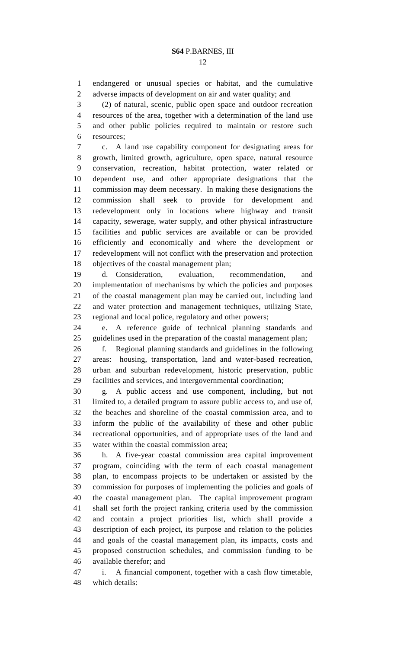12

1 endangered or unusual species or habitat, and the cumulative 2 adverse impacts of development on air and water quality; and

3 (2) of natural, scenic, public open space and outdoor recreation 4 resources of the area, together with a determination of the land use 5 and other public policies required to maintain or restore such 6 resources;

7 c. A land use capability component for designating areas for 8 growth, limited growth, agriculture, open space, natural resource 9 conservation, recreation, habitat protection, water related or 10 dependent use, and other appropriate designations that the 11 commission may deem necessary. In making these designations the 12 commission shall seek to provide for development and 13 redevelopment only in locations where highway and transit 14 capacity, sewerage, water supply, and other physical infrastructure 15 facilities and public services are available or can be provided 16 efficiently and economically and where the development or 17 redevelopment will not conflict with the preservation and protection 18 objectives of the coastal management plan;

19 d. Consideration, evaluation, recommendation, and 20 implementation of mechanisms by which the policies and purposes 21 of the coastal management plan may be carried out, including land 22 and water protection and management techniques, utilizing State, 23 regional and local police, regulatory and other powers;

24 e. A reference guide of technical planning standards and 25 guidelines used in the preparation of the coastal management plan;

26 f. Regional planning standards and guidelines in the following 27 areas: housing, transportation, land and water-based recreation, 28 urban and suburban redevelopment, historic preservation, public 29 facilities and services, and intergovernmental coordination;

30 g. A public access and use component, including, but not 31 limited to, a detailed program to assure public access to, and use of, 32 the beaches and shoreline of the coastal commission area, and to 33 inform the public of the availability of these and other public 34 recreational opportunities, and of appropriate uses of the land and 35 water within the coastal commission area;

36 h. A five-year coastal commission area capital improvement 37 program, coinciding with the term of each coastal management 38 plan, to encompass projects to be undertaken or assisted by the 39 commission for purposes of implementing the policies and goals of 40 the coastal management plan. The capital improvement program 41 shall set forth the project ranking criteria used by the commission 42 and contain a project priorities list, which shall provide a 43 description of each project, its purpose and relation to the policies 44 and goals of the coastal management plan, its impacts, costs and 45 proposed construction schedules, and commission funding to be 46 available therefor; and

47 i. A financial component, together with a cash flow timetable, 48 which details: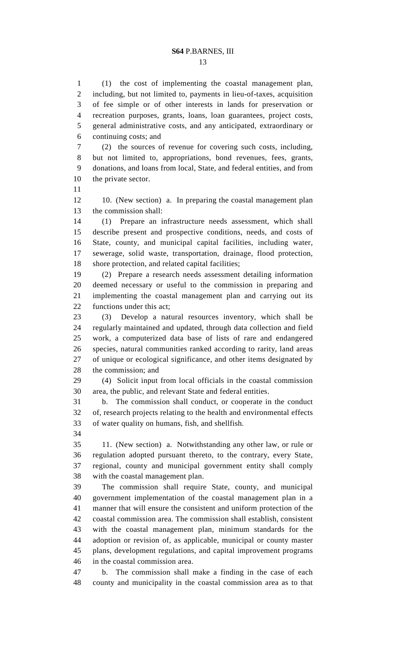13

1 (1) the cost of implementing the coastal management plan, 2 including, but not limited to, payments in lieu-of-taxes, acquisition 3 of fee simple or of other interests in lands for preservation or 4 recreation purposes, grants, loans, loan guarantees, project costs, 5 general administrative costs, and any anticipated, extraordinary or 6 continuing costs; and

7 (2) the sources of revenue for covering such costs, including, 8 but not limited to, appropriations, bond revenues, fees, grants, 9 donations, and loans from local, State, and federal entities, and from 10 the private sector.

11

12 10. (New section) a. In preparing the coastal management plan 13 the commission shall:

14 (1) Prepare an infrastructure needs assessment, which shall 15 describe present and prospective conditions, needs, and costs of 16 State, county, and municipal capital facilities, including water, 17 sewerage, solid waste, transportation, drainage, flood protection, 18 shore protection, and related capital facilities;

19 (2) Prepare a research needs assessment detailing information 20 deemed necessary or useful to the commission in preparing and 21 implementing the coastal management plan and carrying out its 22 functions under this act;

23 (3) Develop a natural resources inventory, which shall be 24 regularly maintained and updated, through data collection and field 25 work, a computerized data base of lists of rare and endangered 26 species, natural communities ranked according to rarity, land areas 27 of unique or ecological significance, and other items designated by 28 the commission; and

29 (4) Solicit input from local officials in the coastal commission 30 area, the public, and relevant State and federal entities.

31 b. The commission shall conduct, or cooperate in the conduct 32 of, research projects relating to the health and environmental effects 33 of water quality on humans, fish, and shellfish.

34

35 11. (New section) a. Notwithstanding any other law, or rule or 36 regulation adopted pursuant thereto, to the contrary, every State, 37 regional, county and municipal government entity shall comply 38 with the coastal management plan.

39 The commission shall require State, county, and municipal 40 government implementation of the coastal management plan in a 41 manner that will ensure the consistent and uniform protection of the 42 coastal commission area. The commission shall establish, consistent 43 with the coastal management plan, minimum standards for the 44 adoption or revision of, as applicable, municipal or county master 45 plans, development regulations, and capital improvement programs 46 in the coastal commission area.

47 b. The commission shall make a finding in the case of each 48 county and municipality in the coastal commission area as to that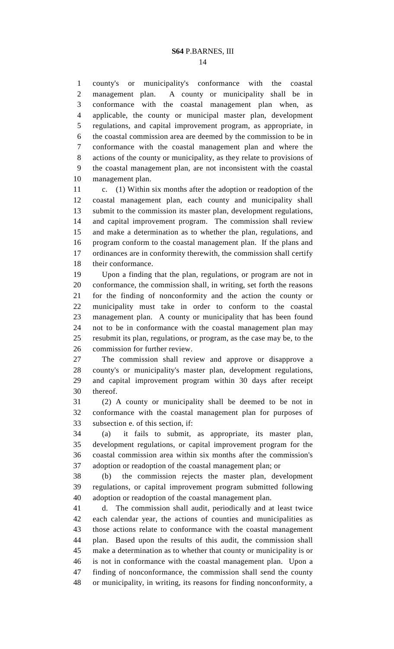1 county's or municipality's conformance with the coastal 2 management plan. A county or municipality shall be in 3 conformance with the coastal management plan when, as 4 applicable, the county or municipal master plan, development 5 regulations, and capital improvement program, as appropriate, in 6 the coastal commission area are deemed by the commission to be in 7 conformance with the coastal management plan and where the 8 actions of the county or municipality, as they relate to provisions of 9 the coastal management plan, are not inconsistent with the coastal 10 management plan.

11 c. (1) Within six months after the adoption or readoption of the 12 coastal management plan, each county and municipality shall 13 submit to the commission its master plan, development regulations, 14 and capital improvement program. The commission shall review 15 and make a determination as to whether the plan, regulations, and 16 program conform to the coastal management plan. If the plans and 17 ordinances are in conformity therewith, the commission shall certify 18 their conformance.

19 Upon a finding that the plan, regulations, or program are not in 20 conformance, the commission shall, in writing, set forth the reasons 21 for the finding of nonconformity and the action the county or 22 municipality must take in order to conform to the coastal 23 management plan. A county or municipality that has been found 24 not to be in conformance with the coastal management plan may 25 resubmit its plan, regulations, or program, as the case may be, to the 26 commission for further review.

27 The commission shall review and approve or disapprove a 28 county's or municipality's master plan, development regulations, 29 and capital improvement program within 30 days after receipt 30 thereof.

31 (2) A county or municipality shall be deemed to be not in 32 conformance with the coastal management plan for purposes of 33 subsection e. of this section, if:

34 (a) it fails to submit, as appropriate, its master plan, 35 development regulations, or capital improvement program for the 36 coastal commission area within six months after the commission's 37 adoption or readoption of the coastal management plan; or

38 (b) the commission rejects the master plan, development 39 regulations, or capital improvement program submitted following 40 adoption or readoption of the coastal management plan.

41 d. The commission shall audit, periodically and at least twice 42 each calendar year, the actions of counties and municipalities as 43 those actions relate to conformance with the coastal management 44 plan. Based upon the results of this audit, the commission shall 45 make a determination as to whether that county or municipality is or 46 is not in conformance with the coastal management plan. Upon a 47 finding of nonconformance, the commission shall send the county 48 or municipality, in writing, its reasons for finding nonconformity, a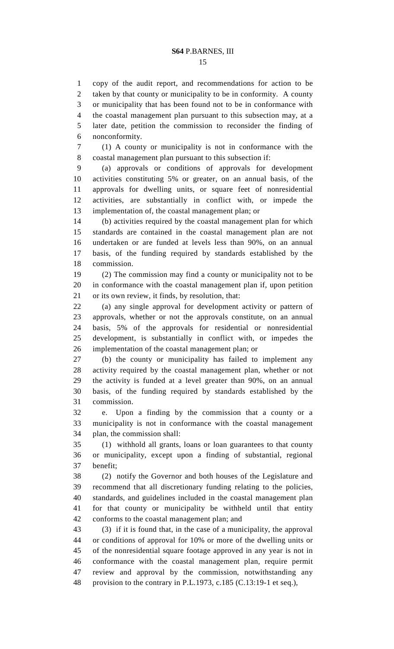15

1 copy of the audit report, and recommendations for action to be 2 taken by that county or municipality to be in conformity. A county 3 or municipality that has been found not to be in conformance with 4 the coastal management plan pursuant to this subsection may, at a 5 later date, petition the commission to reconsider the finding of 6 nonconformity.

7 (1) A county or municipality is not in conformance with the 8 coastal management plan pursuant to this subsection if:

9 (a) approvals or conditions of approvals for development 10 activities constituting 5% or greater, on an annual basis, of the 11 approvals for dwelling units, or square feet of nonresidential 12 activities, are substantially in conflict with, or impede the 13 implementation of, the coastal management plan; or

14 (b) activities required by the coastal management plan for which 15 standards are contained in the coastal management plan are not 16 undertaken or are funded at levels less than 90%, on an annual 17 basis, of the funding required by standards established by the 18 commission.

19 (2) The commission may find a county or municipality not to be 20 in conformance with the coastal management plan if, upon petition 21 or its own review, it finds, by resolution, that:

22 (a) any single approval for development activity or pattern of 23 approvals, whether or not the approvals constitute, on an annual 24 basis, 5% of the approvals for residential or nonresidential 25 development, is substantially in conflict with, or impedes the 26 implementation of the coastal management plan; or

27 (b) the county or municipality has failed to implement any 28 activity required by the coastal management plan, whether or not 29 the activity is funded at a level greater than 90%, on an annual 30 basis, of the funding required by standards established by the 31 commission.

32 e. Upon a finding by the commission that a county or a 33 municipality is not in conformance with the coastal management 34 plan, the commission shall:

35 (1) withhold all grants, loans or loan guarantees to that county 36 or municipality, except upon a finding of substantial, regional 37 benefit;

38 (2) notify the Governor and both houses of the Legislature and 39 recommend that all discretionary funding relating to the policies, 40 standards, and guidelines included in the coastal management plan 41 for that county or municipality be withheld until that entity 42 conforms to the coastal management plan; and

43 (3) if it is found that, in the case of a municipality, the approval 44 or conditions of approval for 10% or more of the dwelling units or 45 of the nonresidential square footage approved in any year is not in 46 conformance with the coastal management plan, require permit 47 review and approval by the commission, notwithstanding any 48 provision to the contrary in P.L.1973, c.185 (C.13:19-1 et seq.),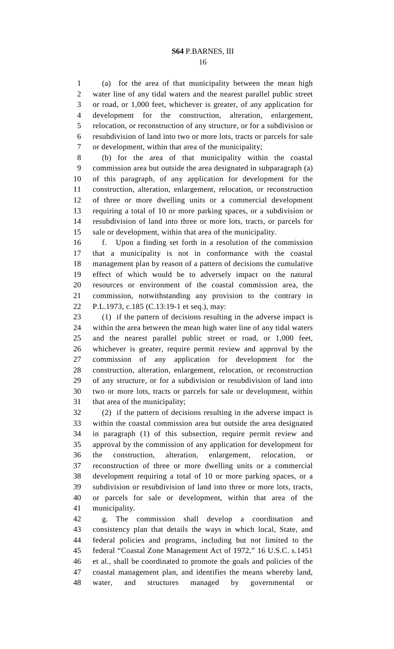1 (a) for the area of that municipality between the mean high 2 water line of any tidal waters and the nearest parallel public street 3 or road, or 1,000 feet, whichever is greater, of any application for 4 development for the construction, alteration, enlargement, 5 relocation, or reconstruction of any structure, or for a subdivision or 6 resubdivision of land into two or more lots, tracts or parcels for sale 7 or development, within that area of the municipality;

8 (b) for the area of that municipality within the coastal 9 commission area but outside the area designated in subparagraph (a) 10 of this paragraph, of any application for development for the 11 construction, alteration, enlargement, relocation, or reconstruction 12 of three or more dwelling units or a commercial development 13 requiring a total of 10 or more parking spaces, or a subdivision or 14 resubdivision of land into three or more lots, tracts, or parcels for 15 sale or development, within that area of the municipality.

16 f. Upon a finding set forth in a resolution of the commission 17 that a municipality is not in conformance with the coastal 18 management plan by reason of a pattern of decisions the cumulative 19 effect of which would be to adversely impact on the natural 20 resources or environment of the coastal commission area, the 21 commission, notwithstanding any provision to the contrary in 22 P.L.1973, c.185 (C.13:19-1 et seq.), may:

23 (1) if the pattern of decisions resulting in the adverse impact is 24 within the area between the mean high water line of any tidal waters 25 and the nearest parallel public street or road, or 1,000 feet, 26 whichever is greater, require permit review and approval by the 27 commission of any application for development for the 28 construction, alteration, enlargement, relocation, or reconstruction 29 of any structure, or for a subdivision or resubdivision of land into 30 two or more lots, tracts or parcels for sale or development, within 31 that area of the municipality;

32 (2) if the pattern of decisions resulting in the adverse impact is 33 within the coastal commission area but outside the area designated 34 in paragraph (1) of this subsection, require permit review and 35 approval by the commission of any application for development for 36 the construction, alteration, enlargement, relocation, or 37 reconstruction of three or more dwelling units or a commercial 38 development requiring a total of 10 or more parking spaces, or a 39 subdivision or resubdivision of land into three or more lots, tracts, 40 or parcels for sale or development, within that area of the 41 municipality.

42 g. The commission shall develop a coordination and 43 consistency plan that details the ways in which local, State, and 44 federal policies and programs, including but not limited to the 45 federal "Coastal Zone Management Act of 1972," 16 U.S.C. s.1451 46 et al., shall be coordinated to promote the goals and policies of the 47 coastal management plan, and identifies the means whereby land, 48 water, and structures managed by governmental or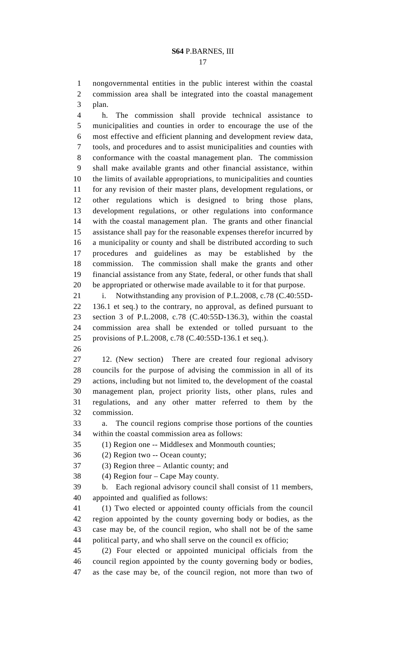1 nongovernmental entities in the public interest within the coastal 2 commission area shall be integrated into the coastal management 3 plan.

4 h. The commission shall provide technical assistance to 5 municipalities and counties in order to encourage the use of the 6 most effective and efficient planning and development review data, 7 tools, and procedures and to assist municipalities and counties with 8 conformance with the coastal management plan. The commission 9 shall make available grants and other financial assistance, within 10 the limits of available appropriations, to municipalities and counties 11 for any revision of their master plans, development regulations, or 12 other regulations which is designed to bring those plans, 13 development regulations, or other regulations into conformance 14 with the coastal management plan. The grants and other financial 15 assistance shall pay for the reasonable expenses therefor incurred by 16 a municipality or county and shall be distributed according to such 17 procedures and guidelines as may be established by the 18 commission. The commission shall make the grants and other 19 financial assistance from any State, federal, or other funds that shall 20 be appropriated or otherwise made available to it for that purpose.

21 i. Notwithstanding any provision of P.L.2008, c.78 (C.40:55D-22 136.1 et seq.) to the contrary, no approval, as defined pursuant to 23 section 3 of P.L.2008, c.78 (C.40:55D-136.3), within the coastal 24 commission area shall be extended or tolled pursuant to the 25 provisions of P.L.2008, c.78 (C.40:55D-136.1 et seq.).

26

27 12. (New section) There are created four regional advisory 28 councils for the purpose of advising the commission in all of its 29 actions, including but not limited to, the development of the coastal 30 management plan, project priority lists, other plans, rules and 31 regulations, and any other matter referred to them by the 32 commission.

33 a. The council regions comprise those portions of the counties 34 within the coastal commission area as follows:

35 (1) Region one -- Middlesex and Monmouth counties;

36 (2) Region two -- Ocean county;

37 (3) Region three – Atlantic county; and

38 (4) Region four – Cape May county.

39 b. Each regional advisory council shall consist of 11 members, 40 appointed and qualified as follows:

41 (1) Two elected or appointed county officials from the council 42 region appointed by the county governing body or bodies, as the 43 case may be, of the council region, who shall not be of the same 44 political party, and who shall serve on the council ex officio;

45 (2) Four elected or appointed municipal officials from the 46 council region appointed by the county governing body or bodies, 47 as the case may be, of the council region, not more than two of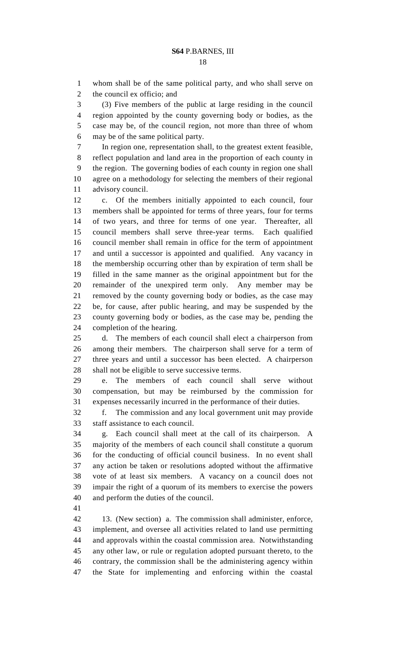1 whom shall be of the same political party, and who shall serve on 2 the council ex officio; and

3 (3) Five members of the public at large residing in the council 4 region appointed by the county governing body or bodies, as the 5 case may be, of the council region, not more than three of whom 6 may be of the same political party.

7 In region one, representation shall, to the greatest extent feasible, 8 reflect population and land area in the proportion of each county in 9 the region. The governing bodies of each county in region one shall 10 agree on a methodology for selecting the members of their regional 11 advisory council.

12 c. Of the members initially appointed to each council, four 13 members shall be appointed for terms of three years, four for terms 14 of two years, and three for terms of one year. Thereafter, all 15 council members shall serve three-year terms. Each qualified 16 council member shall remain in office for the term of appointment 17 and until a successor is appointed and qualified. Any vacancy in 18 the membership occurring other than by expiration of term shall be 19 filled in the same manner as the original appointment but for the 20 remainder of the unexpired term only. Any member may be 21 removed by the county governing body or bodies, as the case may 22 be, for cause, after public hearing, and may be suspended by the 23 county governing body or bodies, as the case may be, pending the 24 completion of the hearing.

25 d. The members of each council shall elect a chairperson from 26 among their members. The chairperson shall serve for a term of 27 three years and until a successor has been elected. A chairperson 28 shall not be eligible to serve successive terms.

29 e. The members of each council shall serve without 30 compensation, but may be reimbursed by the commission for 31 expenses necessarily incurred in the performance of their duties.

32 f. The commission and any local government unit may provide 33 staff assistance to each council.

34 g. Each council shall meet at the call of its chairperson. A 35 majority of the members of each council shall constitute a quorum 36 for the conducting of official council business. In no event shall 37 any action be taken or resolutions adopted without the affirmative 38 vote of at least six members. A vacancy on a council does not 39 impair the right of a quorum of its members to exercise the powers 40 and perform the duties of the council.

41

42 13. (New section) a. The commission shall administer, enforce, 43 implement, and oversee all activities related to land use permitting 44 and approvals within the coastal commission area. Notwithstanding 45 any other law, or rule or regulation adopted pursuant thereto, to the 46 contrary, the commission shall be the administering agency within 47 the State for implementing and enforcing within the coastal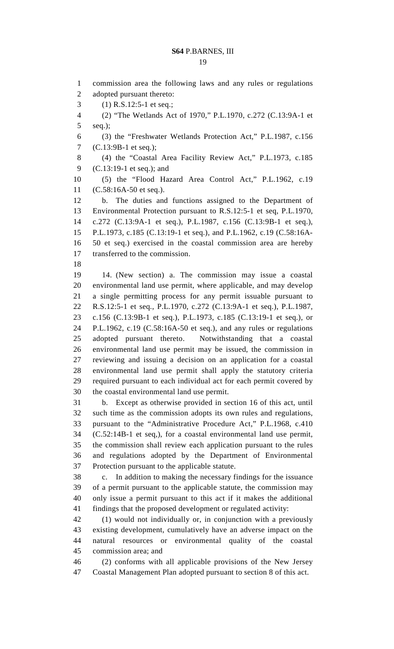19

1 commission area the following laws and any rules or regulations 2 adopted pursuant thereto: 3 (1) R.S.12:5-1 et seq.; 4 (2) "The Wetlands Act of 1970," P.L.1970, c.272 (C.13:9A-1 et 5 seq.); 6 (3) the "Freshwater Wetlands Protection Act," P.L.1987, c.156 7 (C.13:9B-1 et seq.); 8 (4) the "Coastal Area Facility Review Act," P.L.1973, c.185 9 (C.13:19-1 et seq.); and 10 (5) the "Flood Hazard Area Control Act," P.L.1962, c.19 11 (C.58:16A-50 et seq.). 12 b. The duties and functions assigned to the Department of 13 Environmental Protection pursuant to R.S.12:5-1 et seq, P.L.1970, 14 c.272 (C.13:9A-1 et seq.), P.L.1987, c.156 (C.13:9B-1 et seq.), 15 P.L.1973, c.185 (C.13:19-1 et seq.), and P.L.1962, c.19 (C.58:16A-16 50 et seq.) exercised in the coastal commission area are hereby 17 transferred to the commission. 18 19 14. (New section) a. The commission may issue a coastal 20 environmental land use permit, where applicable, and may develop 21 a single permitting process for any permit issuable pursuant to 22 R.S.12:5-1 et seq., P.L.1970, c.272 (C.13:9A-1 et seq.), P.L.1987, 23 c.156 (C.13:9B-1 et seq.), P.L.1973, c.185 (C.13:19-1 et seq.), or 24 P.L.1962, c.19 (C.58:16A-50 et seq.), and any rules or regulations 25 adopted pursuant thereto. Notwithstanding that a coastal 26 environmental land use permit may be issued, the commission in 27 reviewing and issuing a decision on an application for a coastal 28 environmental land use permit shall apply the statutory criteria 29 required pursuant to each individual act for each permit covered by 30 the coastal environmental land use permit. 31 b. Except as otherwise provided in section 16 of this act, until 32 such time as the commission adopts its own rules and regulations, 33 pursuant to the "Administrative Procedure Act," P.L.1968, c.410 34 (C.52:14B-1 et seq,), for a coastal environmental land use permit, 35 the commission shall review each application pursuant to the rules 36 and regulations adopted by the Department of Environmental 37 Protection pursuant to the applicable statute. 38 c. In addition to making the necessary findings for the issuance 39 of a permit pursuant to the applicable statute, the commission may 40 only issue a permit pursuant to this act if it makes the additional 41 findings that the proposed development or regulated activity: 42 (1) would not individually or, in conjunction with a previously 43 existing development, cumulatively have an adverse impact on the 44 natural resources or environmental quality of the coastal 45 commission area; and 46 (2) conforms with all applicable provisions of the New Jersey 47 Coastal Management Plan adopted pursuant to section 8 of this act.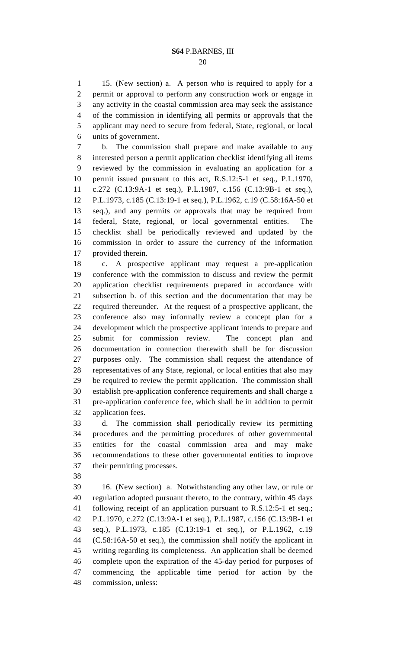#### 20

1 15. (New section) a. A person who is required to apply for a 2 permit or approval to perform any construction work or engage in 3 any activity in the coastal commission area may seek the assistance 4 of the commission in identifying all permits or approvals that the 5 applicant may need to secure from federal, State, regional, or local 6 units of government.

7 b. The commission shall prepare and make available to any 8 interested person a permit application checklist identifying all items 9 reviewed by the commission in evaluating an application for a 10 permit issued pursuant to this act, R.S.12:5-1 et seq., P.L.1970, 11 c.272 (C.13:9A-1 et seq.), P.L.1987, c.156 (C.13:9B-1 et seq.), 12 P.L.1973, c.185 (C.13:19-1 et seq.), P.L.1962, c.19 (C.58:16A-50 et 13 seq.), and any permits or approvals that may be required from 14 federal, State, regional, or local governmental entities. The 15 checklist shall be periodically reviewed and updated by the 16 commission in order to assure the currency of the information 17 provided therein.

18 c. A prospective applicant may request a pre-application 19 conference with the commission to discuss and review the permit 20 application checklist requirements prepared in accordance with 21 subsection b. of this section and the documentation that may be 22 required thereunder. At the request of a prospective applicant, the 23 conference also may informally review a concept plan for a 24 development which the prospective applicant intends to prepare and 25 submit for commission review. The concept plan and 26 documentation in connection therewith shall be for discussion 27 purposes only. The commission shall request the attendance of 28 representatives of any State, regional, or local entities that also may 29 be required to review the permit application. The commission shall 30 establish pre-application conference requirements and shall charge a 31 pre-application conference fee, which shall be in addition to permit 32 application fees.

33 d. The commission shall periodically review its permitting 34 procedures and the permitting procedures of other governmental 35 entities for the coastal commission area and may make 36 recommendations to these other governmental entities to improve 37 their permitting processes.

38

39 16. (New section) a. Notwithstanding any other law, or rule or 40 regulation adopted pursuant thereto, to the contrary, within 45 days 41 following receipt of an application pursuant to R.S.12:5-1 et seq.; 42 P.L.1970, c.272 (C.13:9A-1 et seq.), P.L.1987, c.156 (C.13:9B-1 et 43 seq.), P.L.1973, c.185 (C.13:19-1 et seq.), or P.L.1962, c.19 44 (C.58:16A-50 et seq.), the commission shall notify the applicant in 45 writing regarding its completeness. An application shall be deemed 46 complete upon the expiration of the 45-day period for purposes of 47 commencing the applicable time period for action by the 48 commission, unless: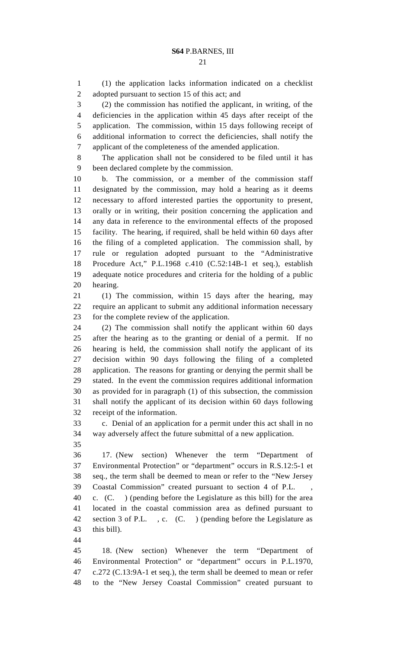1 (1) the application lacks information indicated on a checklist 2 adopted pursuant to section 15 of this act; and

3 (2) the commission has notified the applicant, in writing, of the 4 deficiencies in the application within 45 days after receipt of the 5 application. The commission, within 15 days following receipt of 6 additional information to correct the deficiencies, shall notify the 7 applicant of the completeness of the amended application.

8 The application shall not be considered to be filed until it has 9 been declared complete by the commission.

10 b. The commission, or a member of the commission staff 11 designated by the commission, may hold a hearing as it deems 12 necessary to afford interested parties the opportunity to present, 13 orally or in writing, their position concerning the application and 14 any data in reference to the environmental effects of the proposed 15 facility. The hearing, if required, shall be held within 60 days after 16 the filing of a completed application. The commission shall, by 17 rule or regulation adopted pursuant to the "Administrative 18 Procedure Act," P.L.1968 c.410 (C.52:14B-1 et seq.), establish 19 adequate notice procedures and criteria for the holding of a public 20 hearing.

21 (1) The commission, within 15 days after the hearing, may 22 require an applicant to submit any additional information necessary 23 for the complete review of the application.

24 (2) The commission shall notify the applicant within 60 days 25 after the hearing as to the granting or denial of a permit. If no 26 hearing is held, the commission shall notify the applicant of its 27 decision within 90 days following the filing of a completed 28 application. The reasons for granting or denying the permit shall be 29 stated. In the event the commission requires additional information 30 as provided for in paragraph (1) of this subsection, the commission 31 shall notify the applicant of its decision within 60 days following 32 receipt of the information.

33 c. Denial of an application for a permit under this act shall in no 34 way adversely affect the future submittal of a new application.

35

36 17. (New section) Whenever the term "Department of 37 Environmental Protection" or "department" occurs in R.S.12:5-1 et 38 seq., the term shall be deemed to mean or refer to the "New Jersey 39 Coastal Commission" created pursuant to section 4 of P.L. ,

40 c. (C. ) (pending before the Legislature as this bill) for the area 41 located in the coastal commission area as defined pursuant to 42 section 3 of P.L. , c. (C. ) (pending before the Legislature as 43 this bill).

44

45 18. (New section) Whenever the term "Department of 46 Environmental Protection" or "department" occurs in P.L.1970, 47 c.272 (C.13:9A-1 et seq.), the term shall be deemed to mean or refer 48 to the "New Jersey Coastal Commission" created pursuant to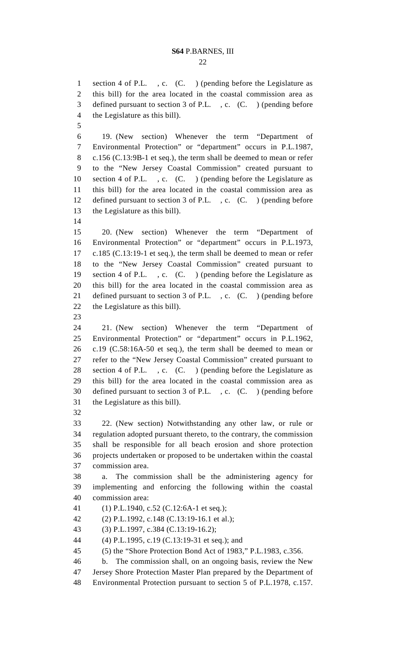1 section 4 of P.L. , c. (C. ) (pending before the Legislature as 2 this bill) for the area located in the coastal commission area as 3 defined pursuant to section 3 of P.L. , c. (C. ) (pending before 4 the Legislature as this bill). 5 6 19. (New section) Whenever the term "Department of 7 Environmental Protection" or "department" occurs in P.L.1987, 8 c.156 (C.13:9B-1 et seq.), the term shall be deemed to mean or refer 9 to the "New Jersey Coastal Commission" created pursuant to 10 section 4 of P.L. , c. (C. ) (pending before the Legislature as 11 this bill) for the area located in the coastal commission area as 12 defined pursuant to section 3 of P.L., c. (C.) (pending before 13 the Legislature as this bill). 14 15 20. (New section) Whenever the term "Department of 16 Environmental Protection" or "department" occurs in P.L.1973, 17 c.185 (C.13:19-1 et seq.), the term shall be deemed to mean or refer 18 to the "New Jersey Coastal Commission" created pursuant to 19 section 4 of P.L. , c. (C. ) (pending before the Legislature as 20 this bill) for the area located in the coastal commission area as 21 defined pursuant to section 3 of P.L. , c. (C. ) (pending before 22 the Legislature as this bill). 23 24 21. (New section) Whenever the term "Department of 25 Environmental Protection" or "department" occurs in P.L.1962, 26 c.19 (C.58:16A-50 et seq.), the term shall be deemed to mean or 27 refer to the "New Jersey Coastal Commission" created pursuant to 28 section 4 of P.L. , c. (C. ) (pending before the Legislature as 29 this bill) for the area located in the coastal commission area as 30 defined pursuant to section 3 of P.L. , c. (C. ) (pending before 31 the Legislature as this bill). 32 33 22. (New section) Notwithstanding any other law, or rule or 34 regulation adopted pursuant thereto, to the contrary, the commission 35 shall be responsible for all beach erosion and shore protection 36 projects undertaken or proposed to be undertaken within the coastal 37 commission area. 38 a. The commission shall be the administering agency for 39 implementing and enforcing the following within the coastal 40 commission area: 41 (1) P.L.1940, c.52 (C.12:6A-1 et seq.); 42 (2) P.L.1992, c.148 (C.13:19-16.1 et al.); 43 (3) P.L.1997, c.384 (C.13:19-16.2); 44 (4) P.L.1995, c.19 (C.13:19-31 et seq.); and 45 (5) the "Shore Protection Bond Act of 1983," P.L.1983, c.356. 46 b. The commission shall, on an ongoing basis, review the New 47 Jersey Shore Protection Master Plan prepared by the Department of 48 Environmental Protection pursuant to section 5 of P.L.1978, c.157.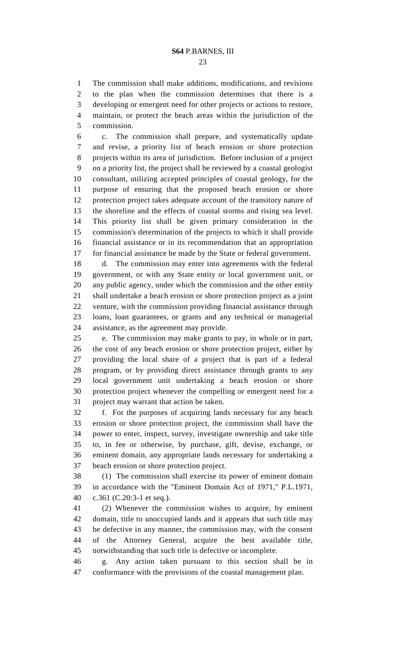23

1 The commission shall make additions, modifications, and revisions 2 to the plan when the commission determines that there is a 3 developing or emergent need for other projects or actions to restore, 4 maintain, or protect the beach areas within the jurisdiction of the 5 commission.

6 c. The commission shall prepare, and systematically update 7 and revise, a priority list of beach erosion or shore protection 8 projects within its area of jurisdiction. Before inclusion of a project 9 on a priority list, the project shall be reviewed by a coastal geologist 10 consultant, utilizing accepted principles of coastal geology, for the 11 purpose of ensuring that the proposed beach erosion or shore 12 protection project takes adequate account of the transitory nature of 13 the shoreline and the effects of coastal storms and rising sea level. 14 This priority list shall be given primary consideration in the 15 commission's determination of the projects to which it shall provide 16 financial assistance or in its recommendation that an appropriation 17 for financial assistance be made by the State or federal government.

18 d. The commission may enter into agreements with the federal 19 government, or with any State entity or local government unit, or 20 any public agency, under which the commission and the other entity 21 shall undertake a beach erosion or shore protection project as a joint 22 venture, with the commission providing financial assistance through 23 loans, loan guarantees, or grants and any technical or managerial 24 assistance, as the agreement may provide.

25 e. The commission may make grants to pay, in whole or in part, 26 the cost of any beach erosion or shore protection project, either by 27 providing the local share of a project that is part of a federal 28 program, or by providing direct assistance through grants to any 29 local government unit undertaking a beach erosion or shore 30 protection project whenever the compelling or emergent need for a 31 project may warrant that action be taken.

32 f. For the purposes of acquiring lands necessary for any beach 33 erosion or shore protection project, the commission shall have the 34 power to enter, inspect, survey, investigate ownership and take title 35 to, in fee or otherwise, by purchase, gift, devise, exchange, or 36 eminent domain, any appropriate lands necessary for undertaking a 37 beach erosion or shore protection project.

38 (1) The commission shall exercise its power of eminent domain 39 in accordance with the "Eminent Domain Act of 1971," P.L.1971, 40 c.361 (C.20:3-1 et seq.).

41 (2) Whenever the commission wishes to acquire, by eminent 42 domain, title to unoccupied lands and it appears that such title may 43 be defective in any manner, the commission may, with the consent 44 of the Attorney General, acquire the best available title, 45 notwithstanding that such title is defective or incomplete.

46 g. Any action taken pursuant to this section shall be in 47 conformance with the provisions of the coastal management plan.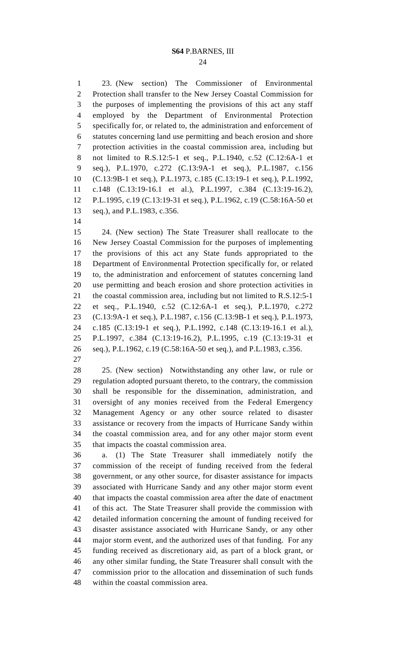1 23. (New section) The Commissioner of Environmental 2 Protection shall transfer to the New Jersey Coastal Commission for 3 the purposes of implementing the provisions of this act any staff 4 employed by the Department of Environmental Protection 5 specifically for, or related to, the administration and enforcement of 6 statutes concerning land use permitting and beach erosion and shore 7 protection activities in the coastal commission area, including but 8 not limited to R.S.12:5-1 et seq., P.L.1940, c.52 (C.12:6A-1 et 9 seq.), P.L.1970, c.272 (C.13:9A-1 et seq.), P.L.1987, c.156 10 (C.13:9B-1 et seq.), P.L.1973, c.185 (C.13:19-1 et seq.), P.L.1992, 11 c.148 (C.13:19-16.1 et al.), P.L.1997, c.384 (C.13:19-16.2), 12 P.L.1995, c.19 (C.13:19-31 et seq.), P.L.1962, c.19 (C.58:16A-50 et 13 seq.), and P.L.1983, c.356.

14

15 24. (New section) The State Treasurer shall reallocate to the 16 New Jersey Coastal Commission for the purposes of implementing 17 the provisions of this act any State funds appropriated to the 18 Department of Environmental Protection specifically for, or related 19 to, the administration and enforcement of statutes concerning land 20 use permitting and beach erosion and shore protection activities in 21 the coastal commission area, including but not limited to R.S.12:5-1 22 et seq., P.L.1940, c.52 (C.12:6A-1 et seq.), P.L.1970, c.272 23 (C.13:9A-1 et seq.), P.L.1987, c.156 (C.13:9B-1 et seq.), P.L.1973, 24 c.185 (C.13:19-1 et seq.), P.L.1992, c.148 (C.13:19-16.1 et al.), 25 P.L.1997, c.384 (C.13:19-16.2), P.L.1995, c.19 (C.13:19-31 et 26 seq.), P.L.1962, c.19 (C.58:16A-50 et seq.), and P.L.1983, c.356.

27

28 25. (New section) Notwithstanding any other law, or rule or 29 regulation adopted pursuant thereto, to the contrary, the commission 30 shall be responsible for the dissemination, administration, and 31 oversight of any monies received from the Federal Emergency 32 Management Agency or any other source related to disaster 33 assistance or recovery from the impacts of Hurricane Sandy within 34 the coastal commission area, and for any other major storm event 35 that impacts the coastal commission area.

36 a. (1) The State Treasurer shall immediately notify the 37 commission of the receipt of funding received from the federal 38 government, or any other source, for disaster assistance for impacts 39 associated with Hurricane Sandy and any other major storm event 40 that impacts the coastal commission area after the date of enactment 41 of this act. The State Treasurer shall provide the commission with 42 detailed information concerning the amount of funding received for 43 disaster assistance associated with Hurricane Sandy, or any other 44 major storm event, and the authorized uses of that funding. For any 45 funding received as discretionary aid, as part of a block grant, or 46 any other similar funding, the State Treasurer shall consult with the 47 commission prior to the allocation and dissemination of such funds 48 within the coastal commission area.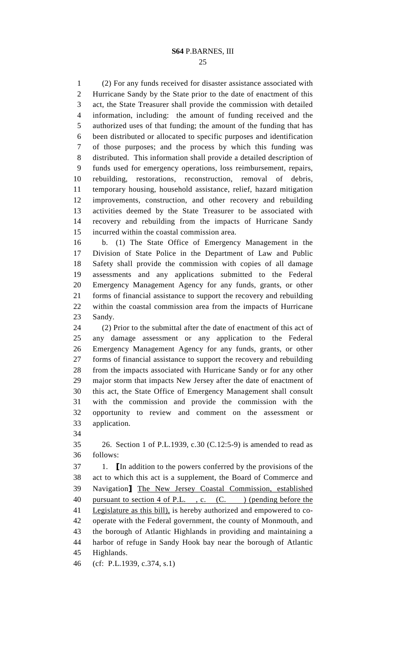1 (2) For any funds received for disaster assistance associated with 2 Hurricane Sandy by the State prior to the date of enactment of this 3 act, the State Treasurer shall provide the commission with detailed 4 information, including: the amount of funding received and the 5 authorized uses of that funding; the amount of the funding that has 6 been distributed or allocated to specific purposes and identification 7 of those purposes; and the process by which this funding was 8 distributed. This information shall provide a detailed description of 9 funds used for emergency operations, loss reimbursement, repairs, 10 rebuilding, restorations, reconstruction, removal of debris, 11 temporary housing, household assistance, relief, hazard mitigation 12 improvements, construction, and other recovery and rebuilding 13 activities deemed by the State Treasurer to be associated with 14 recovery and rebuilding from the impacts of Hurricane Sandy 15 incurred within the coastal commission area.

16 b. (1) The State Office of Emergency Management in the 17 Division of State Police in the Department of Law and Public 18 Safety shall provide the commission with copies of all damage 19 assessments and any applications submitted to the Federal 20 Emergency Management Agency for any funds, grants, or other 21 forms of financial assistance to support the recovery and rebuilding 22 within the coastal commission area from the impacts of Hurricane 23 Sandy.

24 (2) Prior to the submittal after the date of enactment of this act of 25 any damage assessment or any application to the Federal 26 Emergency Management Agency for any funds, grants, or other 27 forms of financial assistance to support the recovery and rebuilding 28 from the impacts associated with Hurricane Sandy or for any other 29 major storm that impacts New Jersey after the date of enactment of 30 this act, the State Office of Emergency Management shall consult 31 with the commission and provide the commission with the 32 opportunity to review and comment on the assessment or 33 application.

34

35 26. Section 1 of P.L.1939, c.30 (C.12:5-9) is amended to read as 36 follows:

37 1. [In addition to the powers conferred by the provisions of the 38 act to which this act is a supplement, the Board of Commerce and 39 Navigation] The New Jersey Coastal Commission, established 40 pursuant to section 4 of P.L., c. (C.) (pending before the 41 Legislature as this bill), is hereby authorized and empowered to co-42 operate with the Federal government, the county of Monmouth, and 43 the borough of Atlantic Highlands in providing and maintaining a 44 harbor of refuge in Sandy Hook bay near the borough of Atlantic 45 Highlands.

46 (cf: P.L.1939, c.374, s.1)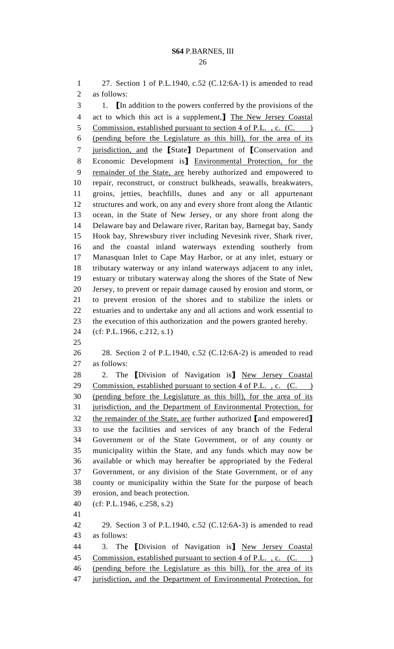1 27. Section 1 of P.L.1940, c.52 (C.12:6A-1) is amended to read 2 as follows:

3 1. [In addition to the powers conferred by the provisions of the 4 act to which this act is a supplement,] The New Jersey Coastal 5 Commission, established pursuant to section 4 of P.L., c. (C. 6 (pending before the Legislature as this bill), for the area of its 7 jurisdiction, and the [State] Department of [Conservation and 8 Economic Development is] Environmental Protection, for the 9 remainder of the State, are hereby authorized and empowered to 10 repair, reconstruct, or construct bulkheads, seawalls, breakwaters, 11 groins, jetties, beachfills, dunes and any or all appurtenant 12 structures and work, on any and every shore front along the Atlantic 13 ocean, in the State of New Jersey, or any shore front along the 14 Delaware bay and Delaware river, Raritan bay, Barnegat bay, Sandy 15 Hook bay, Shrewsbury river including Nevesink river, Shark river, 16 and the coastal inland waterways extending southerly from 17 Manasquan Inlet to Cape May Harbor, or at any inlet, estuary or 18 tributary waterway or any inland waterways adjacent to any inlet, 19 estuary or tributary waterway along the shores of the State of New 20 Jersey, to prevent or repair damage caused by erosion and storm, or 21 to prevent erosion of the shores and to stabilize the inlets or 22 estuaries and to undertake any and all actions and work essential to 23 the execution of this authorization and the powers granted hereby. 24 (cf: P.L.1966, c.212, s.1) 25 26 28. Section 2 of P.L.1940, c.52 (C.12:6A-2) is amended to read 27 as follows: 28 2. The *Division of Navigation* is **New Jersey Coastal** 29 Commission, established pursuant to section 4 of P.L., c. (C. ) 30 (pending before the Legislature as this bill), for the area of its 31 jurisdiction, and the Department of Environmental Protection, for 32 the remainder of the State, are further authorized [and empowered] 33 to use the facilities and services of any branch of the Federal 34 Government or of the State Government, or of any county or 35 municipality within the State, and any funds which may now be 36 available or which may hereafter be appropriated by the Federal 37 Government, or any division of the State Government, or of any 38 county or municipality within the State for the purpose of beach 39 erosion, and beach protection. 40 (cf: P.L.1946, c.258, s.2) 41 42 29. Section 3 of P.L.1940, c.52 (C.12:6A-3) is amended to read 43 as follows: 44 3. The *Division of Navigation* is **New Jersey Coastal** 45 Commission, established pursuant to section 4 of P.L., c. (C.)

46 (pending before the Legislature as this bill), for the area of its 47 jurisdiction, and the Department of Environmental Protection, for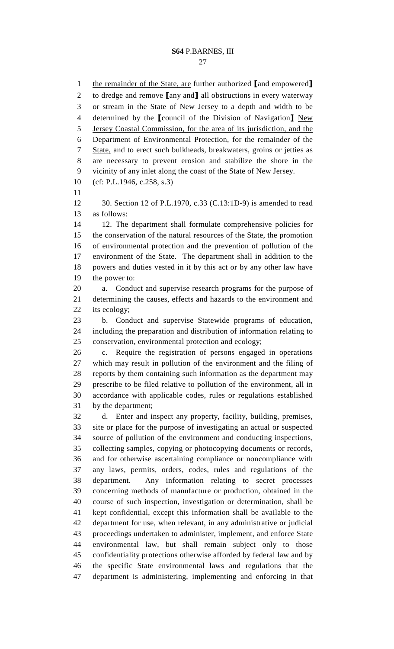1 the remainder of the State, are further authorized [and empowered] 2 to dredge and remove [any and] all obstructions in every waterway 3 or stream in the State of New Jersey to a depth and width to be 4 determined by the **[council of the Division of Navigation**] New 5 Jersey Coastal Commission, for the area of its jurisdiction, and the 6 Department of Environmental Protection, for the remainder of the 7 State, and to erect such bulkheads, breakwaters, groins or jetties as 8 are necessary to prevent erosion and stabilize the shore in the 9 vicinity of any inlet along the coast of the State of New Jersey. 10 (cf: P.L.1946, c.258, s.3) 11 12 30. Section 12 of P.L.1970, c.33 (C.13:1D-9) is amended to read 13 as follows: 14 12. The department shall formulate comprehensive policies for 15 the conservation of the natural resources of the State, the promotion 16 of environmental protection and the prevention of pollution of the 17 environment of the State. The department shall in addition to the 18 powers and duties vested in it by this act or by any other law have 19 the power to: 20 a. Conduct and supervise research programs for the purpose of 21 determining the causes, effects and hazards to the environment and 22 its ecology; 23 b. Conduct and supervise Statewide programs of education, 24 including the preparation and distribution of information relating to 25 conservation, environmental protection and ecology; 26 c. Require the registration of persons engaged in operations 27 which may result in pollution of the environment and the filing of 28 reports by them containing such information as the department may 29 prescribe to be filed relative to pollution of the environment, all in 30 accordance with applicable codes, rules or regulations established 31 by the department; 32 d. Enter and inspect any property, facility, building, premises, 33 site or place for the purpose of investigating an actual or suspected 34 source of pollution of the environment and conducting inspections, 35 collecting samples, copying or photocopying documents or records, 36 and for otherwise ascertaining compliance or noncompliance with 37 any laws, permits, orders, codes, rules and regulations of the 38 department. Any information relating to secret processes 39 concerning methods of manufacture or production, obtained in the 40 course of such inspection, investigation or determination, shall be 41 kept confidential, except this information shall be available to the 42 department for use, when relevant, in any administrative or judicial 43 proceedings undertaken to administer, implement, and enforce State 44 environmental law, but shall remain subject only to those 45 confidentiality protections otherwise afforded by federal law and by 46 the specific State environmental laws and regulations that the 47 department is administering, implementing and enforcing in that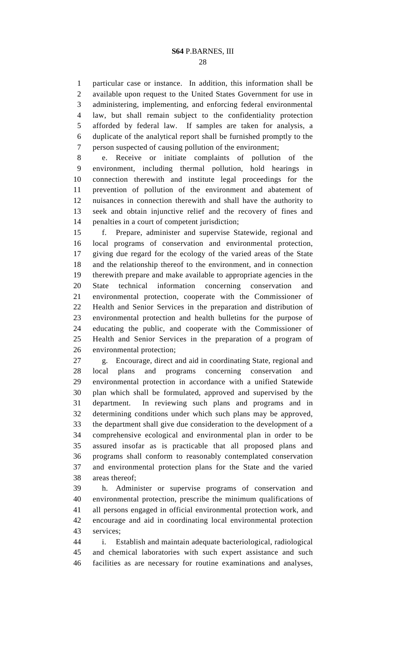1 particular case or instance. In addition, this information shall be 2 available upon request to the United States Government for use in 3 administering, implementing, and enforcing federal environmental 4 law, but shall remain subject to the confidentiality protection 5 afforded by federal law. If samples are taken for analysis, a 6 duplicate of the analytical report shall be furnished promptly to the 7 person suspected of causing pollution of the environment;

8 e. Receive or initiate complaints of pollution of the 9 environment, including thermal pollution, hold hearings in 10 connection therewith and institute legal proceedings for the 11 prevention of pollution of the environment and abatement of 12 nuisances in connection therewith and shall have the authority to 13 seek and obtain injunctive relief and the recovery of fines and 14 penalties in a court of competent jurisdiction;

15 f. Prepare, administer and supervise Statewide, regional and 16 local programs of conservation and environmental protection, 17 giving due regard for the ecology of the varied areas of the State 18 and the relationship thereof to the environment, and in connection 19 therewith prepare and make available to appropriate agencies in the 20 State technical information concerning conservation and 21 environmental protection, cooperate with the Commissioner of 22 Health and Senior Services in the preparation and distribution of 23 environmental protection and health bulletins for the purpose of 24 educating the public, and cooperate with the Commissioner of 25 Health and Senior Services in the preparation of a program of 26 environmental protection;

27 g. Encourage, direct and aid in coordinating State, regional and 28 local plans and programs concerning conservation and 29 environmental protection in accordance with a unified Statewide 30 plan which shall be formulated, approved and supervised by the 31 department. In reviewing such plans and programs and in 32 determining conditions under which such plans may be approved, 33 the department shall give due consideration to the development of a 34 comprehensive ecological and environmental plan in order to be 35 assured insofar as is practicable that all proposed plans and 36 programs shall conform to reasonably contemplated conservation 37 and environmental protection plans for the State and the varied 38 areas thereof;

39 h. Administer or supervise programs of conservation and 40 environmental protection, prescribe the minimum qualifications of 41 all persons engaged in official environmental protection work, and 42 encourage and aid in coordinating local environmental protection 43 services;

44 i. Establish and maintain adequate bacteriological, radiological 45 and chemical laboratories with such expert assistance and such 46 facilities as are necessary for routine examinations and analyses,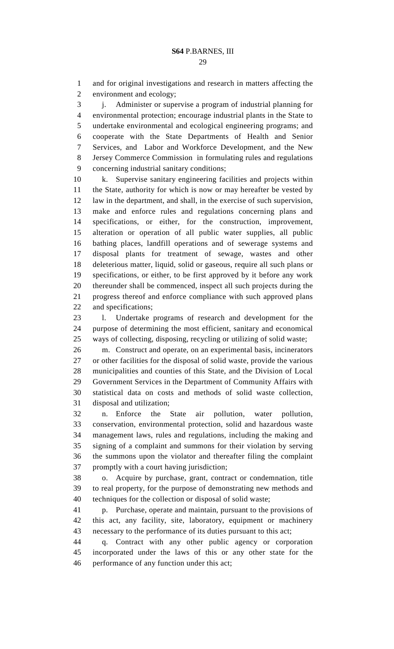1 and for original investigations and research in matters affecting the 2 environment and ecology;

3 j. Administer or supervise a program of industrial planning for 4 environmental protection; encourage industrial plants in the State to 5 undertake environmental and ecological engineering programs; and 6 cooperate with the State Departments of Health and Senior 7 Services, and Labor and Workforce Development, and the New 8 Jersey Commerce Commission in formulating rules and regulations 9 concerning industrial sanitary conditions;

10 k. Supervise sanitary engineering facilities and projects within 11 the State, authority for which is now or may hereafter be vested by 12 law in the department, and shall, in the exercise of such supervision, 13 make and enforce rules and regulations concerning plans and 14 specifications, or either, for the construction, improvement, 15 alteration or operation of all public water supplies, all public 16 bathing places, landfill operations and of sewerage systems and 17 disposal plants for treatment of sewage, wastes and other 18 deleterious matter, liquid, solid or gaseous, require all such plans or 19 specifications, or either, to be first approved by it before any work 20 thereunder shall be commenced, inspect all such projects during the 21 progress thereof and enforce compliance with such approved plans 22 and specifications;

23 l. Undertake programs of research and development for the 24 purpose of determining the most efficient, sanitary and economical 25 ways of collecting, disposing, recycling or utilizing of solid waste;

26 m. Construct and operate, on an experimental basis, incinerators 27 or other facilities for the disposal of solid waste, provide the various 28 municipalities and counties of this State, and the Division of Local 29 Government Services in the Department of Community Affairs with 30 statistical data on costs and methods of solid waste collection, 31 disposal and utilization;

32 n. Enforce the State air pollution, water pollution, 33 conservation, environmental protection, solid and hazardous waste 34 management laws, rules and regulations, including the making and 35 signing of a complaint and summons for their violation by serving 36 the summons upon the violator and thereafter filing the complaint 37 promptly with a court having jurisdiction;

38 o. Acquire by purchase, grant, contract or condemnation, title 39 to real property, for the purpose of demonstrating new methods and 40 techniques for the collection or disposal of solid waste;

41 p. Purchase, operate and maintain, pursuant to the provisions of 42 this act, any facility, site, laboratory, equipment or machinery 43 necessary to the performance of its duties pursuant to this act;

44 q. Contract with any other public agency or corporation 45 incorporated under the laws of this or any other state for the 46 performance of any function under this act;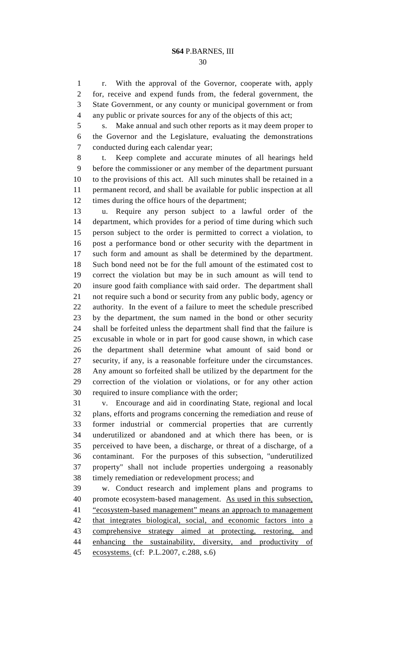30

1 r. With the approval of the Governor, cooperate with, apply 2 for, receive and expend funds from, the federal government, the 3 State Government, or any county or municipal government or from 4 any public or private sources for any of the objects of this act;

5 s. Make annual and such other reports as it may deem proper to 6 the Governor and the Legislature, evaluating the demonstrations 7 conducted during each calendar year;

8 t. Keep complete and accurate minutes of all hearings held 9 before the commissioner or any member of the department pursuant 10 to the provisions of this act. All such minutes shall be retained in a 11 permanent record, and shall be available for public inspection at all 12 times during the office hours of the department;

13 u. Require any person subject to a lawful order of the 14 department, which provides for a period of time during which such 15 person subject to the order is permitted to correct a violation, to 16 post a performance bond or other security with the department in 17 such form and amount as shall be determined by the department. 18 Such bond need not be for the full amount of the estimated cost to 19 correct the violation but may be in such amount as will tend to 20 insure good faith compliance with said order. The department shall 21 not require such a bond or security from any public body, agency or 22 authority. In the event of a failure to meet the schedule prescribed 23 by the department, the sum named in the bond or other security 24 shall be forfeited unless the department shall find that the failure is 25 excusable in whole or in part for good cause shown, in which case 26 the department shall determine what amount of said bond or 27 security, if any, is a reasonable forfeiture under the circumstances. 28 Any amount so forfeited shall be utilized by the department for the 29 correction of the violation or violations, or for any other action 30 required to insure compliance with the order;

31 v. Encourage and aid in coordinating State, regional and local 32 plans, efforts and programs concerning the remediation and reuse of 33 former industrial or commercial properties that are currently 34 underutilized or abandoned and at which there has been, or is 35 perceived to have been, a discharge, or threat of a discharge, of a 36 contaminant. For the purposes of this subsection, "underutilized 37 property" shall not include properties undergoing a reasonably 38 timely remediation or redevelopment process; and

39 w. Conduct research and implement plans and programs to 40 promote ecosystem-based management. As used in this subsection, 41 "ecosystem-based management" means an approach to management 42 that integrates biological, social, and economic factors into a 43 comprehensive strategy aimed at protecting, restoring, and 44 enhancing the sustainability, diversity, and productivity of 45 ecosystems. (cf: P.L.2007, c.288, s.6)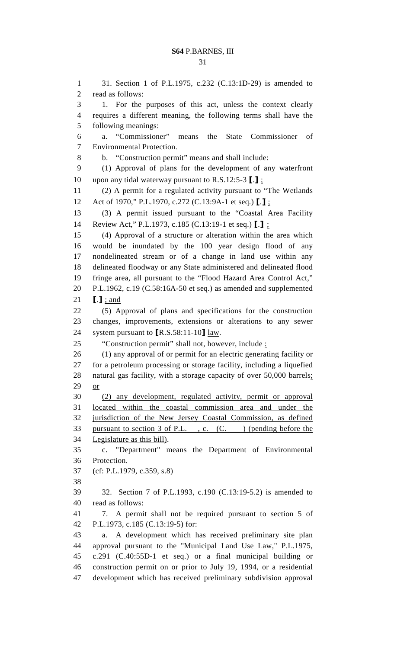1 31. Section 1 of P.L.1975, c.232 (C.13:1D-29) is amended to 2 read as follows: 3 1. For the purposes of this act, unless the context clearly 4 requires a different meaning, the following terms shall have the 5 following meanings: 6 a. "Commissioner" means the State Commissioner of 7 Environmental Protection. 8 b. "Construction permit" means and shall include: 9 (1) Approval of plans for the development of any waterfront 10 upon any tidal waterway pursuant to R.S.12:5-3  $\left[\frac{1}{2}\right]$ ; 11 (2) A permit for a regulated activity pursuant to "The Wetlands 12 Act of 1970," P.L.1970, c.272 (C.13:9A-1 et seq.) [.] ; 13 (3) A permit issued pursuant to the "Coastal Area Facility 14 Review Act," P.L.1973, c.185 (C.13:19-1 et seq.) [.] ; 15 (4) Approval of a structure or alteration within the area which 16 would be inundated by the 100 year design flood of any 17 nondelineated stream or of a change in land use within any 18 delineated floodway or any State administered and delineated flood 19 fringe area, all pursuant to the "Flood Hazard Area Control Act," 20 P.L.1962, c.19 (C.58:16A-50 et seq.) as amended and supplemented 21  $\blacksquare$   $\blacksquare$   $\blacksquare$   $\blacksquare$   $\blacksquare$   $\blacksquare$ 22 (5) Approval of plans and specifications for the construction 23 changes, improvements, extensions or alterations to any sewer 24 system pursuant to [R.S.58:11-10] law. 25 "Construction permit" shall not, however, include : 26 (1) any approval of or permit for an electric generating facility or 27 for a petroleum processing or storage facility, including a liquefied 28 natural gas facility, with a storage capacity of over 50,000 barrels; 29 or 30 (2) any development, regulated activity, permit or approval 31 located within the coastal commission area and under the 32 jurisdiction of the New Jersey Coastal Commission, as defined 33 pursuant to section 3 of P.L., c. (C.) (pending before the 34 Legislature as this bill). 35 c. "Department" means the Department of Environmental 36 Protection. 37 (cf: P.L.1979, c.359, s.8) 38 39 32. Section 7 of P.L.1993, c.190 (C.13:19-5.2) is amended to 40 read as follows: 41 7. A permit shall not be required pursuant to section 5 of 42 P.L.1973, c.185 (C.13:19-5) for: 43 a. A development which has received preliminary site plan 44 approval pursuant to the "Municipal Land Use Law," P.L.1975, 45 c.291 (C.40:55D-1 et seq.) or a final municipal building or 46 construction permit on or prior to July 19, 1994, or a residential 47 development which has received preliminary subdivision approval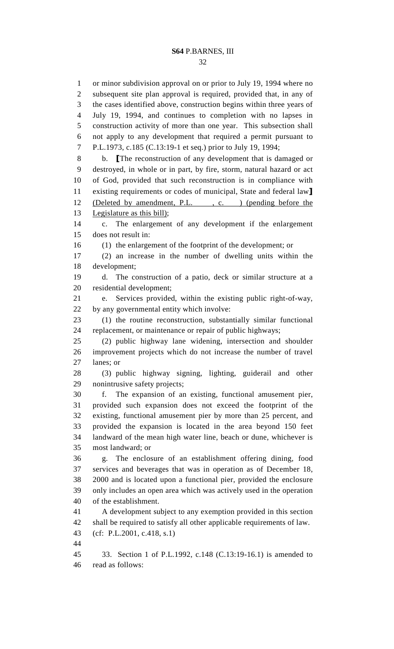1 or minor subdivision approval on or prior to July 19, 1994 where no 2 subsequent site plan approval is required, provided that, in any of 3 the cases identified above, construction begins within three years of 4 July 19, 1994, and continues to completion with no lapses in 5 construction activity of more than one year. This subsection shall 6 not apply to any development that required a permit pursuant to 7 P.L.1973, c.185 (C.13:19-1 et seq.) prior to July 19, 1994; 8 b. [The reconstruction of any development that is damaged or 9 destroyed, in whole or in part, by fire, storm, natural hazard or act 10 of God, provided that such reconstruction is in compliance with 11 existing requirements or codes of municipal, State and federal law] 12 (Deleted by amendment, P.L., c. ) (pending before the 13 Legislature as this bill); 14 c. The enlargement of any development if the enlargement 15 does not result in: 16 (1) the enlargement of the footprint of the development; or 17 (2) an increase in the number of dwelling units within the 18 development; 19 d. The construction of a patio, deck or similar structure at a 20 residential development; 21 e. Services provided, within the existing public right-of-way, 22 by any governmental entity which involve: 23 (1) the routine reconstruction, substantially similar functional 24 replacement, or maintenance or repair of public highways; 25 (2) public highway lane widening, intersection and shoulder 26 improvement projects which do not increase the number of travel 27 lanes; or 28 (3) public highway signing, lighting, guiderail and other 29 nonintrusive safety projects; 30 f. The expansion of an existing, functional amusement pier, 31 provided such expansion does not exceed the footprint of the 32 existing, functional amusement pier by more than 25 percent, and 33 provided the expansion is located in the area beyond 150 feet 34 landward of the mean high water line, beach or dune, whichever is 35 most landward; or 36 g. The enclosure of an establishment offering dining, food 37 services and beverages that was in operation as of December 18, 38 2000 and is located upon a functional pier, provided the enclosure 39 only includes an open area which was actively used in the operation 40 of the establishment. 41 A development subject to any exemption provided in this section 42 shall be required to satisfy all other applicable requirements of law. 43 (cf: P.L.2001, c.418, s.1) 44 45 33. Section 1 of P.L.1992, c.148 (C.13:19-16.1) is amended to 46 read as follows: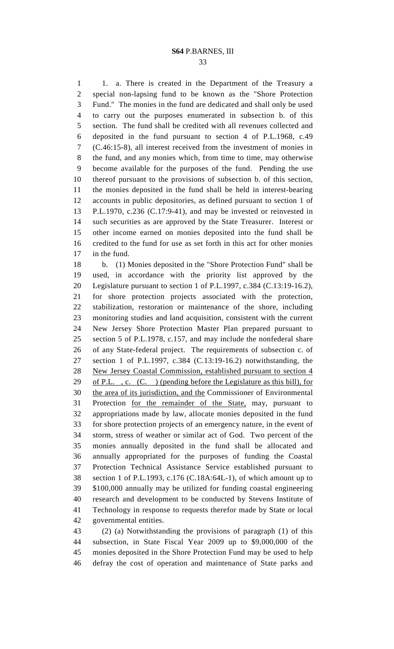1 1. a. There is created in the Department of the Treasury a 2 special non-lapsing fund to be known as the "Shore Protection 3 Fund." The monies in the fund are dedicated and shall only be used 4 to carry out the purposes enumerated in subsection b. of this 5 section. The fund shall be credited with all revenues collected and 6 deposited in the fund pursuant to section 4 of P.L.1968, c.49 7 (C.46:15-8), all interest received from the investment of monies in 8 the fund, and any monies which, from time to time, may otherwise 9 become available for the purposes of the fund. Pending the use 10 thereof pursuant to the provisions of subsection b. of this section, 11 the monies deposited in the fund shall be held in interest-bearing 12 accounts in public depositories, as defined pursuant to section 1 of 13 P.L.1970, c.236 (C.17:9-41), and may be invested or reinvested in 14 such securities as are approved by the State Treasurer. Interest or 15 other income earned on monies deposited into the fund shall be 16 credited to the fund for use as set forth in this act for other monies 17 in the fund.

18 b. (1) Monies deposited in the "Shore Protection Fund" shall be 19 used, in accordance with the priority list approved by the 20 Legislature pursuant to section 1 of P.L.1997, c.384 (C.13:19-16.2), 21 for shore protection projects associated with the protection, 22 stabilization, restoration or maintenance of the shore, including 23 monitoring studies and land acquisition, consistent with the current 24 New Jersey Shore Protection Master Plan prepared pursuant to 25 section 5 of P.L.1978, c.157, and may include the nonfederal share 26 of any State-federal project. The requirements of subsection c. of 27 section 1 of P.L.1997, c.384 (C.13:19-16.2) notwithstanding, the 28 New Jersey Coastal Commission, established pursuant to section 4 29 of P.L., c.  $(C.)$  (pending before the Legislature as this bill), for 30 the area of its jurisdiction, and the Commissioner of Environmental 31 Protection for the remainder of the State, may, pursuant to 32 appropriations made by law, allocate monies deposited in the fund 33 for shore protection projects of an emergency nature, in the event of 34 storm, stress of weather or similar act of God. Two percent of the 35 monies annually deposited in the fund shall be allocated and 36 annually appropriated for the purposes of funding the Coastal 37 Protection Technical Assistance Service established pursuant to 38 section 1 of P.L.1993, c.176 (C.18A:64L-1), of which amount up to 39 \$100,000 annually may be utilized for funding coastal engineering 40 research and development to be conducted by Stevens Institute of 41 Technology in response to requests therefor made by State or local 42 governmental entities.

43 (2) (a) Notwithstanding the provisions of paragraph (1) of this 44 subsection, in State Fiscal Year 2009 up to \$9,000,000 of the 45 monies deposited in the Shore Protection Fund may be used to help 46 defray the cost of operation and maintenance of State parks and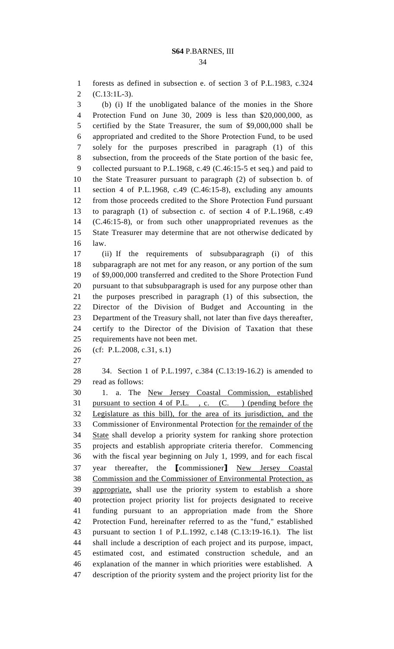1 forests as defined in subsection e. of section 3 of P.L.1983, c.324 2 (C.13:1L-3).

3 (b) (i) If the unobligated balance of the monies in the Shore 4 Protection Fund on June 30, 2009 is less than \$20,000,000, as 5 certified by the State Treasurer, the sum of \$9,000,000 shall be 6 appropriated and credited to the Shore Protection Fund, to be used 7 solely for the purposes prescribed in paragraph (1) of this 8 subsection, from the proceeds of the State portion of the basic fee, 9 collected pursuant to P.L.1968, c.49 (C.46:15-5 et seq.) and paid to 10 the State Treasurer pursuant to paragraph (2) of subsection b. of 11 section 4 of P.L.1968, c.49 (C.46:15-8), excluding any amounts 12 from those proceeds credited to the Shore Protection Fund pursuant 13 to paragraph (1) of subsection c. of section 4 of P.L.1968, c.49 14 (C.46:15-8), or from such other unappropriated revenues as the 15 State Treasurer may determine that are not otherwise dedicated by 16 law.

17 (ii) If the requirements of subsubparagraph (i) of this 18 subparagraph are not met for any reason, or any portion of the sum 19 of \$9,000,000 transferred and credited to the Shore Protection Fund 20 pursuant to that subsubparagraph is used for any purpose other than 21 the purposes prescribed in paragraph (1) of this subsection, the 22 Director of the Division of Budget and Accounting in the 23 Department of the Treasury shall, not later than five days thereafter, 24 certify to the Director of the Division of Taxation that these 25 requirements have not been met.

26 (cf: P.L.2008, c.31, s.1)

27

28 34. Section 1 of P.L.1997, c.384 (C.13:19-16.2) is amended to 29 read as follows:

30 1. a. The New Jersey Coastal Commission, established 31 pursuant to section 4 of P.L. , c. (C. ) (pending before the 32 Legislature as this bill), for the area of its jurisdiction, and the 33 Commissioner of Environmental Protection for the remainder of the 34 State shall develop a priority system for ranking shore protection 35 projects and establish appropriate criteria therefor. Commencing 36 with the fiscal year beginning on July 1, 1999, and for each fiscal 37 year thereafter, the [commissioner] New Jersey Coastal 38 Commission and the Commissioner of Environmental Protection, as 39 appropriate, shall use the priority system to establish a shore 40 protection project priority list for projects designated to receive 41 funding pursuant to an appropriation made from the Shore 42 Protection Fund, hereinafter referred to as the "fund," established 43 pursuant to section 1 of P.L.1992, c.148 (C.13:19-16.1). The list 44 shall include a description of each project and its purpose, impact, 45 estimated cost, and estimated construction schedule, and an 46 explanation of the manner in which priorities were established. A 47 description of the priority system and the project priority list for the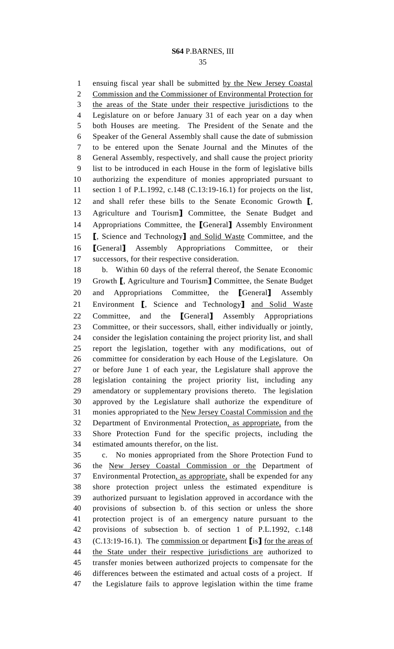35

1 ensuing fiscal year shall be submitted by the New Jersey Coastal 2 Commission and the Commissioner of Environmental Protection for 3 the areas of the State under their respective jurisdictions to the 4 Legislature on or before January 31 of each year on a day when 5 both Houses are meeting. The President of the Senate and the 6 Speaker of the General Assembly shall cause the date of submission 7 to be entered upon the Senate Journal and the Minutes of the 8 General Assembly, respectively, and shall cause the project priority 9 list to be introduced in each House in the form of legislative bills 10 authorizing the expenditure of monies appropriated pursuant to 11 section 1 of P.L.1992, c.148 (C.13:19-16.1) for projects on the list, 12 and shall refer these bills to the Senate Economic Growth [, 13 Agriculture and Tourism] Committee, the Senate Budget and 14 Appropriations Committee, the [General] Assembly Environment 15 **[**, Science and Technology] and Solid Waste Committee, and the 16 [General] Assembly Appropriations Committee, or their 17 successors, for their respective consideration. 18 b. Within 60 days of the referral thereof, the Senate Economic

19 Growth [, Agriculture and Tourism] Committee, the Senate Budget 20 and Appropriations Committee, the [General] Assembly 21 Environment [, Science and Technology] and Solid Waste 22 Committee, and the [General] Assembly Appropriations 23 Committee, or their successors, shall, either individually or jointly, 24 consider the legislation containing the project priority list, and shall 25 report the legislation, together with any modifications, out of 26 committee for consideration by each House of the Legislature. On 27 or before June 1 of each year, the Legislature shall approve the 28 legislation containing the project priority list, including any 29 amendatory or supplementary provisions thereto. The legislation 30 approved by the Legislature shall authorize the expenditure of 31 monies appropriated to the New Jersey Coastal Commission and the 32 Department of Environmental Protection, as appropriate, from the 33 Shore Protection Fund for the specific projects, including the 34 estimated amounts therefor, on the list.

35 c. No monies appropriated from the Shore Protection Fund to 36 the New Jersey Coastal Commission or the Department of 37 Environmental Protection, as appropriate, shall be expended for any 38 shore protection project unless the estimated expenditure is 39 authorized pursuant to legislation approved in accordance with the 40 provisions of subsection b. of this section or unless the shore 41 protection project is of an emergency nature pursuant to the 42 provisions of subsection b. of section 1 of P.L.1992, c.148 43 (C.13:19-16.1). The commission or department [is] for the areas of 44 the State under their respective jurisdictions are authorized to 45 transfer monies between authorized projects to compensate for the 46 differences between the estimated and actual costs of a project. If 47 the Legislature fails to approve legislation within the time frame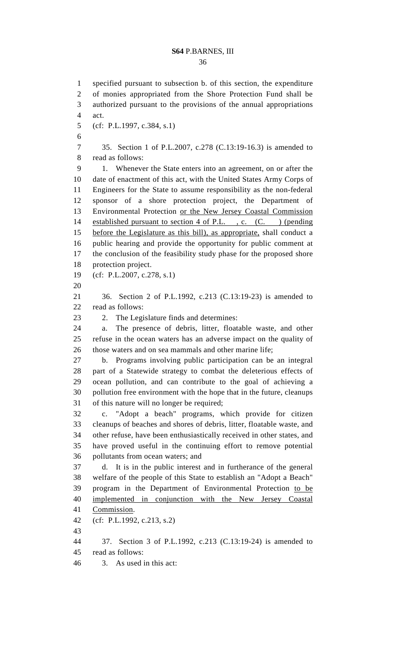36

1 specified pursuant to subsection b. of this section, the expenditure 2 of monies appropriated from the Shore Protection Fund shall be 3 authorized pursuant to the provisions of the annual appropriations 4 act. 5 (cf: P.L.1997, c.384, s.1) 6 7 35. Section 1 of P.L.2007, c.278 (C.13:19-16.3) is amended to 8 read as follows: 9 1. Whenever the State enters into an agreement, on or after the 10 date of enactment of this act, with the United States Army Corps of 11 Engineers for the State to assume responsibility as the non-federal 12 sponsor of a shore protection project, the Department of 13 Environmental Protection or the New Jersey Coastal Commission 14 established pursuant to section 4 of P.L., c. (C.) (pending 15 before the Legislature as this bill), as appropriate, shall conduct a 16 public hearing and provide the opportunity for public comment at 17 the conclusion of the feasibility study phase for the proposed shore 18 protection project. 19 (cf: P.L.2007, c.278, s.1) 20 21 36. Section 2 of P.L.1992, c.213 (C.13:19-23) is amended to 22 read as follows: 23 2. The Legislature finds and determines: 24 a. The presence of debris, litter, floatable waste, and other 25 refuse in the ocean waters has an adverse impact on the quality of 26 those waters and on sea mammals and other marine life; 27 b. Programs involving public participation can be an integral 28 part of a Statewide strategy to combat the deleterious effects of 29 ocean pollution, and can contribute to the goal of achieving a 30 pollution free environment with the hope that in the future, cleanups 31 of this nature will no longer be required; 32 c. "Adopt a beach" programs, which provide for citizen 33 cleanups of beaches and shores of debris, litter, floatable waste, and 34 other refuse, have been enthusiastically received in other states, and 35 have proved useful in the continuing effort to remove potential 36 pollutants from ocean waters; and 37 d. It is in the public interest and in furtherance of the general 38 welfare of the people of this State to establish an "Adopt a Beach" 39 program in the Department of Environmental Protection to be 40 implemented in conjunction with the New Jersey Coastal 41 Commission. 42 (cf: P.L.1992, c.213, s.2) 43 44 37. Section 3 of P.L.1992, c.213 (C.13:19-24) is amended to 45 read as follows: 46 3. As used in this act: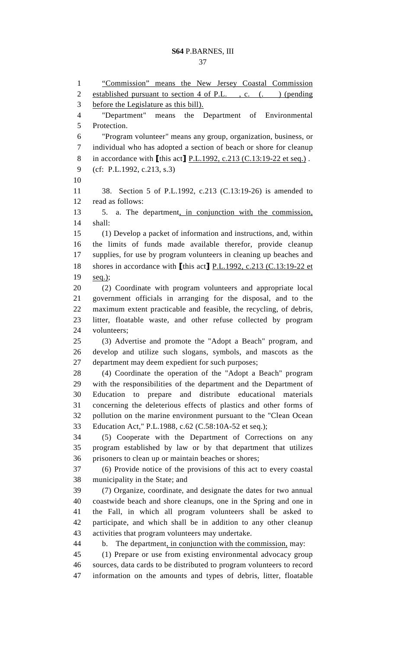37

1 "Commission" means the New Jersey Coastal Commission 2 established pursuant to section 4 of P.L., c. (.) (pending 3 before the Legislature as this bill). 4 "Department" means the Department of Environmental 5 Protection. 6 "Program volunteer" means any group, organization, business, or 7 individual who has adopted a section of beach or shore for cleanup 8 in accordance with  $[$ this act $]$  P.L.1992, c.213 (C.13:19-22 et seq.). 9 (cf: P.L.1992, c.213, s.3) 10 11 38. Section 5 of P.L.1992, c.213 (C.13:19-26) is amended to 12 read as follows: 13 5. a. The department, in conjunction with the commission, 14 shall: 15 (1) Develop a packet of information and instructions, and, within 16 the limits of funds made available therefor, provide cleanup 17 supplies, for use by program volunteers in cleaning up beaches and 18 shores in accordance with [this act] P.L.1992, c.213 (C.13:19-22 et 19 seq.); 20 (2) Coordinate with program volunteers and appropriate local 21 government officials in arranging for the disposal, and to the 22 maximum extent practicable and feasible, the recycling, of debris, 23 litter, floatable waste, and other refuse collected by program 24 volunteers; 25 (3) Advertise and promote the "Adopt a Beach" program, and 26 develop and utilize such slogans, symbols, and mascots as the 27 department may deem expedient for such purposes; 28 (4) Coordinate the operation of the "Adopt a Beach" program 29 with the responsibilities of the department and the Department of 30 Education to prepare and distribute educational materials 31 concerning the deleterious effects of plastics and other forms of 32 pollution on the marine environment pursuant to the "Clean Ocean 33 Education Act," P.L.1988, c.62 (C.58:10A-52 et seq.); 34 (5) Cooperate with the Department of Corrections on any 35 program established by law or by that department that utilizes 36 prisoners to clean up or maintain beaches or shores; 37 (6) Provide notice of the provisions of this act to every coastal 38 municipality in the State; and 39 (7) Organize, coordinate, and designate the dates for two annual 40 coastwide beach and shore cleanups, one in the Spring and one in 41 the Fall, in which all program volunteers shall be asked to 42 participate, and which shall be in addition to any other cleanup 43 activities that program volunteers may undertake. 44 b. The department, in conjunction with the commission, may: 45 (1) Prepare or use from existing environmental advocacy group 46 sources, data cards to be distributed to program volunteers to record 47 information on the amounts and types of debris, litter, floatable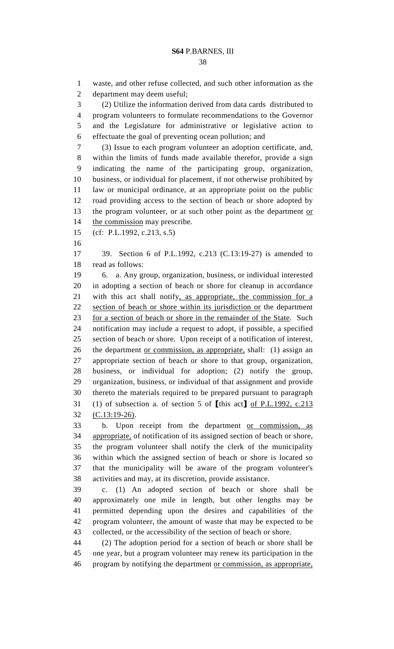1 waste, and other refuse collected, and such other information as the 2 department may deem useful; 3 (2) Utilize the information derived from data cards distributed to 4 program volunteers to formulate recommendations to the Governor 5 and the Legislature for administrative or legislative action to 6 effectuate the goal of preventing ocean pollution; and 7 (3) Issue to each program volunteer an adoption certificate, and, 8 within the limits of funds made available therefor, provide a sign 9 indicating the name of the participating group, organization, 10 business, or individual for placement, if not otherwise prohibited by 11 law or municipal ordinance, at an appropriate point on the public 12 road providing access to the section of beach or shore adopted by 13 the program volunteer, or at such other point as the department or 14 the commission may prescribe. 15 (cf: P.L.1992, c.213, s.5) 16 17 39. Section 6 of P.L.1992, c.213 (C.13:19-27) is amended to 18 read as follows: 19 6. a. Any group, organization, business, or individual interested 20 in adopting a section of beach or shore for cleanup in accordance 21 with this act shall notify, as appropriate, the commission for a 22 section of beach or shore within its jurisdiction or the department 23 for a section of beach or shore in the remainder of the State. Such 24 notification may include a request to adopt, if possible, a specified 25 section of beach or shore. Upon receipt of a notification of interest, 26 the department <u>or commission</u>, as appropriate, shall: (1) assign an 27 appropriate section of beach or shore to that group, organization,

28 business, or individual for adoption; (2) notify the group, 29 organization, business, or individual of that assignment and provide 30 thereto the materials required to be prepared pursuant to paragraph 31 (1) of subsection a. of section 5 of [this act] of P.L.1992, c.213 32 (C.13:19-26).

33 b. Upon receipt from the department or commission, as 34 appropriate, of notification of its assigned section of beach or shore, 35 the program volunteer shall notify the clerk of the municipality 36 within which the assigned section of beach or shore is located so 37 that the municipality will be aware of the program volunteer's 38 activities and may, at its discretion, provide assistance.

39 c. (1) An adopted section of beach or shore shall be 40 approximately one mile in length, but other lengths may be 41 permitted depending upon the desires and capabilities of the 42 program volunteer, the amount of waste that may be expected to be 43 collected, or the accessibility of the section of beach or shore.

44 (2) The adoption period for a section of beach or shore shall be 45 one year, but a program volunteer may renew its participation in the 46 program by notifying the department or commission, as appropriate,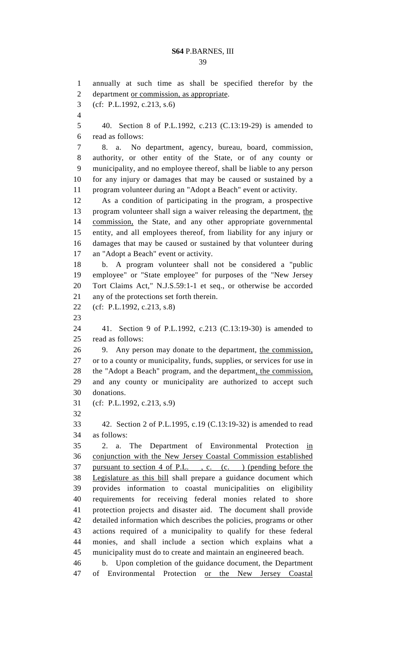39

1 annually at such time as shall be specified therefor by the 2 department or commission, as appropriate. 3 (cf: P.L.1992, c.213, s.6) 4 5 40. Section 8 of P.L.1992, c.213 (C.13:19-29) is amended to 6 read as follows: 7 8. a. No department, agency, bureau, board, commission, 8 authority, or other entity of the State, or of any county or 9 municipality, and no employee thereof, shall be liable to any person 10 for any injury or damages that may be caused or sustained by a 11 program volunteer during an "Adopt a Beach" event or activity. 12 As a condition of participating in the program, a prospective 13 program volunteer shall sign a waiver releasing the department, the 14 commission, the State, and any other appropriate governmental 15 entity, and all employees thereof, from liability for any injury or 16 damages that may be caused or sustained by that volunteer during 17 an "Adopt a Beach" event or activity. 18 b. A program volunteer shall not be considered a "public 19 employee" or "State employee" for purposes of the "New Jersey 20 Tort Claims Act," N.J.S.59:1-1 et seq., or otherwise be accorded 21 any of the protections set forth therein. 22 (cf: P.L.1992, c.213, s.8) 23 24 41. Section 9 of P.L.1992, c.213 (C.13:19-30) is amended to 25 read as follows: 26 9. Any person may donate to the department, the commission, 27 or to a county or municipality, funds, supplies, or services for use in 28 the "Adopt a Beach" program, and the department, the commission, 29 and any county or municipality are authorized to accept such 30 donations. 31 (cf: P.L.1992, c.213, s.9) 32 33 42. Section 2 of P.L.1995, c.19 (C.13:19-32) is amended to read 34 as follows: 35 2. a. The Department of Environmental Protection in 36 conjunction with the New Jersey Coastal Commission established 37 pursuant to section 4 of P.L. , c. (c. ) (pending before the 38 Legislature as this bill shall prepare a guidance document which 39 provides information to coastal municipalities on eligibility 40 requirements for receiving federal monies related to shore 41 protection projects and disaster aid. The document shall provide 42 detailed information which describes the policies, programs or other 43 actions required of a municipality to qualify for these federal 44 monies, and shall include a section which explains what a 45 municipality must do to create and maintain an engineered beach. 46 b. Upon completion of the guidance document, the Department 47 of Environmental Protection or the New Jersey Coastal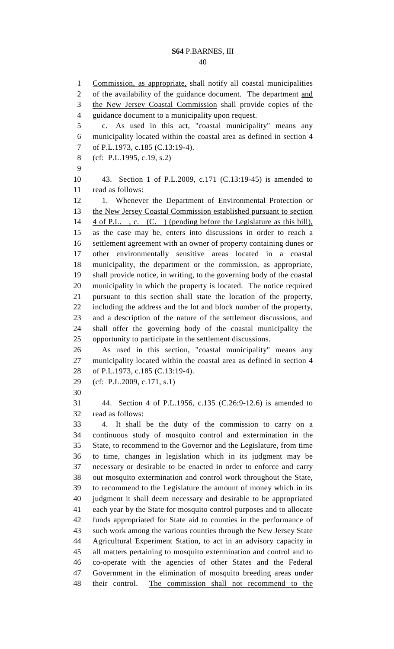40

1 Commission, as appropriate, shall notify all coastal municipalities 2 of the availability of the guidance document. The department and 3 the New Jersey Coastal Commission shall provide copies of the 4 guidance document to a municipality upon request. 5 c. As used in this act, "coastal municipality" means any 6 municipality located within the coastal area as defined in section 4 7 of P.L.1973, c.185 (C.13:19-4). 8 (cf: P.L.1995, c.19, s.2) 9 10 43. Section 1 of P.L.2009, c.171 (C.13:19-45) is amended to 11 read as follows: 12 1. Whenever the Department of Environmental Protection or 13 the New Jersey Coastal Commission established pursuant to section 14 4 of P.L., c. (C.) (pending before the Legislature as this bill), 15 as the case may be, enters into discussions in order to reach a 16 settlement agreement with an owner of property containing dunes or 17 other environmentally sensitive areas located in a coastal 18 municipality, the department or the commission, as appropriate, 19 shall provide notice, in writing, to the governing body of the coastal 20 municipality in which the property is located. The notice required 21 pursuant to this section shall state the location of the property, 22 including the address and the lot and block number of the property, 23 and a description of the nature of the settlement discussions, and 24 shall offer the governing body of the coastal municipality the 25 opportunity to participate in the settlement discussions. 26 As used in this section, "coastal municipality" means any 27 municipality located within the coastal area as defined in section 4 28 of P.L.1973, c.185 (C.13:19-4). 29 (cf: P.L.2009, c.171, s.1) 30 31 44. Section 4 of P.L.1956, c.135 (C.26:9-12.6) is amended to 32 read as follows: 33 4. It shall be the duty of the commission to carry on a 34 continuous study of mosquito control and extermination in the 35 State, to recommend to the Governor and the Legislature, from time 36 to time, changes in legislation which in its judgment may be 37 necessary or desirable to be enacted in order to enforce and carry 38 out mosquito extermination and control work throughout the State, 39 to recommend to the Legislature the amount of money which in its 40 judgment it shall deem necessary and desirable to be appropriated 41 each year by the State for mosquito control purposes and to allocate 42 funds appropriated for State aid to counties in the performance of 43 such work among the various counties through the New Jersey State 44 Agricultural Experiment Station, to act in an advisory capacity in 45 all matters pertaining to mosquito extermination and control and to 46 co-operate with the agencies of other States and the Federal 47 Government in the elimination of mosquito breeding areas under 48 their control. The commission shall not recommend to the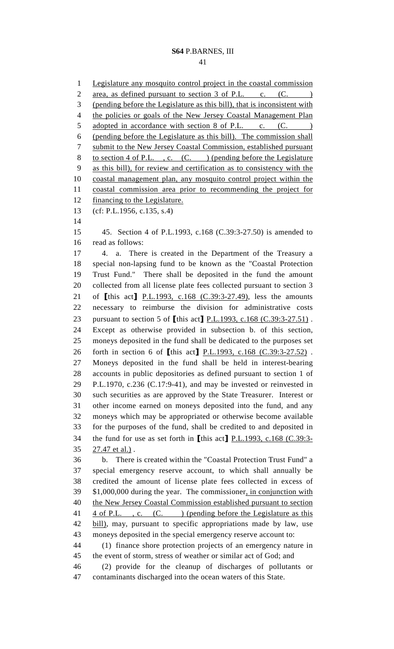41

1 Legislature any mosquito control project in the coastal commission 2 area, as defined pursuant to section 3 of P.L. c. (C. ) 3 (pending before the Legislature as this bill), that is inconsistent with 4 the policies or goals of the New Jersey Coastal Management Plan 5 adopted in accordance with section 8 of P.L. c. (C. ) 6 (pending before the Legislature as this bill). The commission shall 7 submit to the New Jersey Coastal Commission, established pursuant 8 to section 4 of P.L., c. (C.) (pending before the Legislature 9 as this bill), for review and certification as to consistency with the 10 coastal management plan, any mosquito control project within the 11 coastal commission area prior to recommending the project for 12 financing to the Legislature. 13 (cf: P.L.1956, c.135, s.4) 14 15 45. Section 4 of P.L.1993, c.168 (C.39:3-27.50) is amended to 16 read as follows: 17 4. a. There is created in the Department of the Treasury a 18 special non-lapsing fund to be known as the "Coastal Protection 19 Trust Fund." There shall be deposited in the fund the amount 20 collected from all license plate fees collected pursuant to section 3 21 of [this act] P.L.1993, c.168 (C.39:3-27.49), less the amounts 22 necessary to reimburse the division for administrative costs 23 pursuant to section 5 of [this act] P.L.1993, c.168 (C.39:3-27.51). 24 Except as otherwise provided in subsection b. of this section, 25 moneys deposited in the fund shall be dedicated to the purposes set 26 forth in section 6 of [this act] P.L.1993, c.168 (C.39:3-27.52) . 27 Moneys deposited in the fund shall be held in interest-bearing 28 accounts in public depositories as defined pursuant to section 1 of 29 P.L.1970, c.236 (C.17:9-41), and may be invested or reinvested in 30 such securities as are approved by the State Treasurer. Interest or 31 other income earned on moneys deposited into the fund, and any 32 moneys which may be appropriated or otherwise become available 33 for the purposes of the fund, shall be credited to and deposited in 34 the fund for use as set forth in [this act] P.L.1993, c.168 (C.39:3- 35 27.47 et al.) . 36 b. There is created within the "Coastal Protection Trust Fund" a 37 special emergency reserve account, to which shall annually be 38 credited the amount of license plate fees collected in excess of 39 \$1,000,000 during the year. The commissioner, in conjunction with 40 the New Jersey Coastal Commission established pursuant to section 41 4 of P.L., c. (C.) (pending before the Legislature as this 42 bill), may, pursuant to specific appropriations made by law, use 43 moneys deposited in the special emergency reserve account to: 44 (1) finance shore protection projects of an emergency nature in 45 the event of storm, stress of weather or similar act of God; and 46 (2) provide for the cleanup of discharges of pollutants or 47 contaminants discharged into the ocean waters of this State.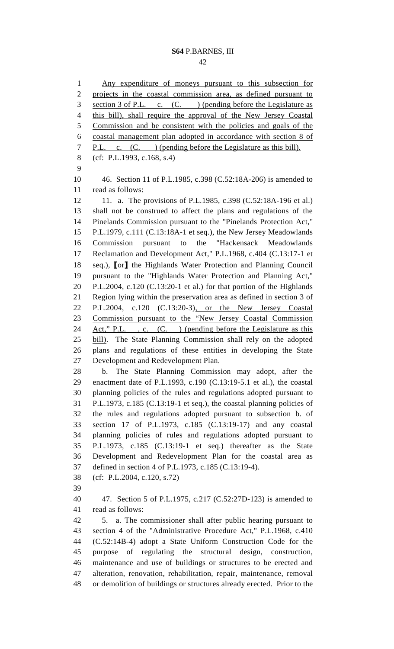1 Any expenditure of moneys pursuant to this subsection for 2 projects in the coastal commission area, as defined pursuant to 3 section 3 of P.L. c. (C. ) (pending before the Legislature as 4 this bill), shall require the approval of the New Jersey Coastal 5 Commission and be consistent with the policies and goals of the 6 coastal management plan adopted in accordance with section 8 of 7 P.L. c. (C. ) (pending before the Legislature as this bill). 8 (cf: P.L.1993, c.168, s.4) 9 10 46. Section 11 of P.L.1985, c.398 (C.52:18A-206) is amended to 11 read as follows: 12 11. a. The provisions of P.L.1985, c.398 (C.52:18A-196 et al.) 13 shall not be construed to affect the plans and regulations of the 14 Pinelands Commission pursuant to the "Pinelands Protection Act," 15 P.L.1979, c.111 (C.13:18A-1 et seq.), the New Jersey Meadowlands 16 Commission pursuant to the "Hackensack Meadowlands 17 Reclamation and Development Act," P.L.1968, c.404 (C.13:17-1 et 18 seq.), [or] the Highlands Water Protection and Planning Council 19 pursuant to the "Highlands Water Protection and Planning Act," 20 P.L.2004, c.120 (C.13:20-1 et al.) for that portion of the Highlands 21 Region lying within the preservation area as defined in section 3 of 22 P.L.2004, c.120 (C.13:20-3), or the New Jersey Coastal 23 Commission pursuant to the "New Jersey Coastal Commission 24 Act," P.L., c. (C.) (pending before the Legislature as this 25 bill). The State Planning Commission shall rely on the adopted 26 plans and regulations of these entities in developing the State 27 Development and Redevelopment Plan.

28 b. The State Planning Commission may adopt, after the 29 enactment date of P.L.1993, c.190 (C.13:19-5.1 et al.), the coastal 30 planning policies of the rules and regulations adopted pursuant to 31 P.L.1973, c.185 (C.13:19-1 et seq.), the coastal planning policies of 32 the rules and regulations adopted pursuant to subsection b. of 33 section 17 of P.L.1973, c.185 (C.13:19-17) and any coastal 34 planning policies of rules and regulations adopted pursuant to 35 P.L.1973, c.185 (C.13:19-1 et seq.) thereafter as the State 36 Development and Redevelopment Plan for the coastal area as 37 defined in section 4 of P.L.1973, c.185 (C.13:19-4).

- 38 (cf: P.L.2004, c.120, s.72)
- 39

40 47. Section 5 of P.L.1975, c.217 (C.52:27D-123) is amended to 41 read as follows:

42 5. a. The commissioner shall after public hearing pursuant to 43 section 4 of the "Administrative Procedure Act," P.L.1968, c.410 44 (C.52:14B-4) adopt a State Uniform Construction Code for the 45 purpose of regulating the structural design, construction, 46 maintenance and use of buildings or structures to be erected and 47 alteration, renovation, rehabilitation, repair, maintenance, removal 48 or demolition of buildings or structures already erected. Prior to the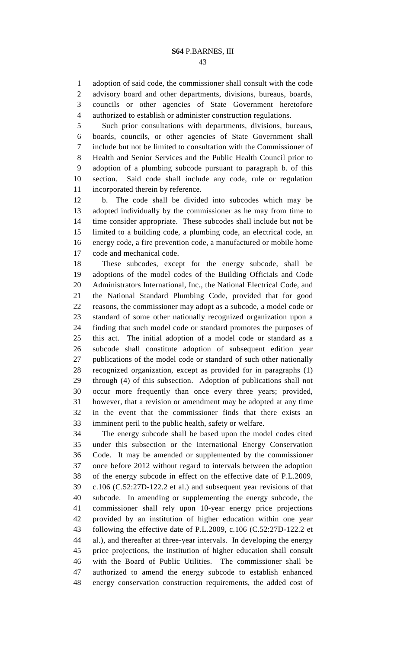1 adoption of said code, the commissioner shall consult with the code 2 advisory board and other departments, divisions, bureaus, boards, 3 councils or other agencies of State Government heretofore 4 authorized to establish or administer construction regulations.

5 Such prior consultations with departments, divisions, bureaus, 6 boards, councils, or other agencies of State Government shall 7 include but not be limited to consultation with the Commissioner of 8 Health and Senior Services and the Public Health Council prior to 9 adoption of a plumbing subcode pursuant to paragraph b. of this 10 section. Said code shall include any code, rule or regulation 11 incorporated therein by reference.

12 b. The code shall be divided into subcodes which may be 13 adopted individually by the commissioner as he may from time to 14 time consider appropriate. These subcodes shall include but not be 15 limited to a building code, a plumbing code, an electrical code, an 16 energy code, a fire prevention code, a manufactured or mobile home 17 code and mechanical code.

18 These subcodes, except for the energy subcode, shall be 19 adoptions of the model codes of the Building Officials and Code 20 Administrators International, Inc., the National Electrical Code, and 21 the National Standard Plumbing Code, provided that for good 22 reasons, the commissioner may adopt as a subcode, a model code or 23 standard of some other nationally recognized organization upon a 24 finding that such model code or standard promotes the purposes of 25 this act. The initial adoption of a model code or standard as a 26 subcode shall constitute adoption of subsequent edition year 27 publications of the model code or standard of such other nationally 28 recognized organization, except as provided for in paragraphs (1) 29 through (4) of this subsection. Adoption of publications shall not 30 occur more frequently than once every three years; provided, 31 however, that a revision or amendment may be adopted at any time 32 in the event that the commissioner finds that there exists an 33 imminent peril to the public health, safety or welfare.

34 The energy subcode shall be based upon the model codes cited 35 under this subsection or the International Energy Conservation 36 Code. It may be amended or supplemented by the commissioner 37 once before 2012 without regard to intervals between the adoption 38 of the energy subcode in effect on the effective date of P.L.2009, 39 c.106 (C.52:27D-122.2 et al.) and subsequent year revisions of that 40 subcode. In amending or supplementing the energy subcode, the 41 commissioner shall rely upon 10-year energy price projections 42 provided by an institution of higher education within one year 43 following the effective date of P.L.2009, c.106 (C.52:27D-122.2 et 44 al.), and thereafter at three-year intervals. In developing the energy 45 price projections, the institution of higher education shall consult 46 with the Board of Public Utilities. The commissioner shall be 47 authorized to amend the energy subcode to establish enhanced 48 energy conservation construction requirements, the added cost of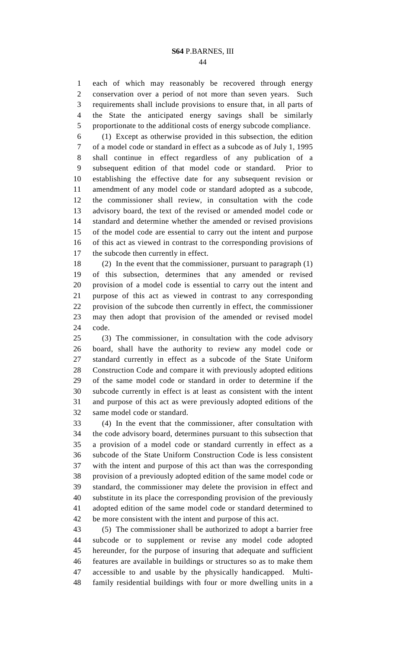1 each of which may reasonably be recovered through energy 2 conservation over a period of not more than seven years. Such 3 requirements shall include provisions to ensure that, in all parts of 4 the State the anticipated energy savings shall be similarly 5 proportionate to the additional costs of energy subcode compliance.

6 (1) Except as otherwise provided in this subsection, the edition 7 of a model code or standard in effect as a subcode as of July 1, 1995 8 shall continue in effect regardless of any publication of a 9 subsequent edition of that model code or standard. Prior to 10 establishing the effective date for any subsequent revision or 11 amendment of any model code or standard adopted as a subcode, 12 the commissioner shall review, in consultation with the code 13 advisory board, the text of the revised or amended model code or 14 standard and determine whether the amended or revised provisions 15 of the model code are essential to carry out the intent and purpose 16 of this act as viewed in contrast to the corresponding provisions of 17 the subcode then currently in effect.

18 (2) In the event that the commissioner, pursuant to paragraph (1) 19 of this subsection, determines that any amended or revised 20 provision of a model code is essential to carry out the intent and 21 purpose of this act as viewed in contrast to any corresponding 22 provision of the subcode then currently in effect, the commissioner 23 may then adopt that provision of the amended or revised model 24 code.

25 (3) The commissioner, in consultation with the code advisory 26 board, shall have the authority to review any model code or 27 standard currently in effect as a subcode of the State Uniform 28 Construction Code and compare it with previously adopted editions 29 of the same model code or standard in order to determine if the 30 subcode currently in effect is at least as consistent with the intent 31 and purpose of this act as were previously adopted editions of the 32 same model code or standard.

33 (4) In the event that the commissioner, after consultation with 34 the code advisory board, determines pursuant to this subsection that 35 a provision of a model code or standard currently in effect as a 36 subcode of the State Uniform Construction Code is less consistent 37 with the intent and purpose of this act than was the corresponding 38 provision of a previously adopted edition of the same model code or 39 standard, the commissioner may delete the provision in effect and 40 substitute in its place the corresponding provision of the previously 41 adopted edition of the same model code or standard determined to 42 be more consistent with the intent and purpose of this act.

43 (5) The commissioner shall be authorized to adopt a barrier free 44 subcode or to supplement or revise any model code adopted 45 hereunder, for the purpose of insuring that adequate and sufficient 46 features are available in buildings or structures so as to make them 47 accessible to and usable by the physically handicapped. Multi-48 family residential buildings with four or more dwelling units in a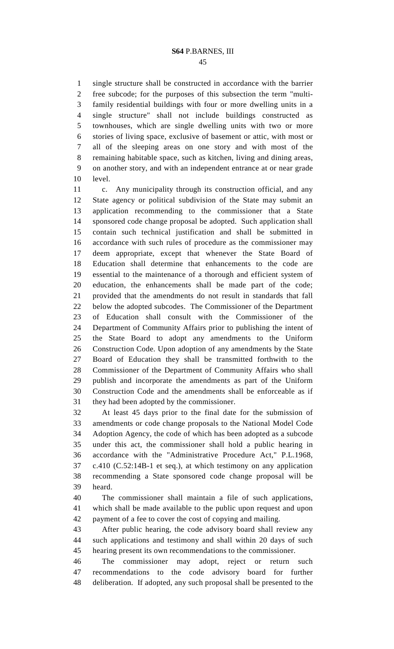1 single structure shall be constructed in accordance with the barrier 2 free subcode; for the purposes of this subsection the term "multi-3 family residential buildings with four or more dwelling units in a 4 single structure" shall not include buildings constructed as 5 townhouses, which are single dwelling units with two or more 6 stories of living space, exclusive of basement or attic, with most or 7 all of the sleeping areas on one story and with most of the 8 remaining habitable space, such as kitchen, living and dining areas, 9 on another story, and with an independent entrance at or near grade 10 level.

11 c. Any municipality through its construction official, and any 12 State agency or political subdivision of the State may submit an 13 application recommending to the commissioner that a State 14 sponsored code change proposal be adopted. Such application shall 15 contain such technical justification and shall be submitted in 16 accordance with such rules of procedure as the commissioner may 17 deem appropriate, except that whenever the State Board of 18 Education shall determine that enhancements to the code are 19 essential to the maintenance of a thorough and efficient system of 20 education, the enhancements shall be made part of the code; 21 provided that the amendments do not result in standards that fall 22 below the adopted subcodes. The Commissioner of the Department 23 of Education shall consult with the Commissioner of the 24 Department of Community Affairs prior to publishing the intent of 25 the State Board to adopt any amendments to the Uniform 26 Construction Code. Upon adoption of any amendments by the State 27 Board of Education they shall be transmitted forthwith to the 28 Commissioner of the Department of Community Affairs who shall 29 publish and incorporate the amendments as part of the Uniform 30 Construction Code and the amendments shall be enforceable as if 31 they had been adopted by the commissioner.

32 At least 45 days prior to the final date for the submission of 33 amendments or code change proposals to the National Model Code 34 Adoption Agency, the code of which has been adopted as a subcode 35 under this act, the commissioner shall hold a public hearing in 36 accordance with the "Administrative Procedure Act," P.L.1968, 37 c.410 (C.52:14B-1 et seq.), at which testimony on any application 38 recommending a State sponsored code change proposal will be 39 heard.

40 The commissioner shall maintain a file of such applications, 41 which shall be made available to the public upon request and upon 42 payment of a fee to cover the cost of copying and mailing.

43 After public hearing, the code advisory board shall review any 44 such applications and testimony and shall within 20 days of such 45 hearing present its own recommendations to the commissioner.

46 The commissioner may adopt, reject or return such 47 recommendations to the code advisory board for further 48 deliberation. If adopted, any such proposal shall be presented to the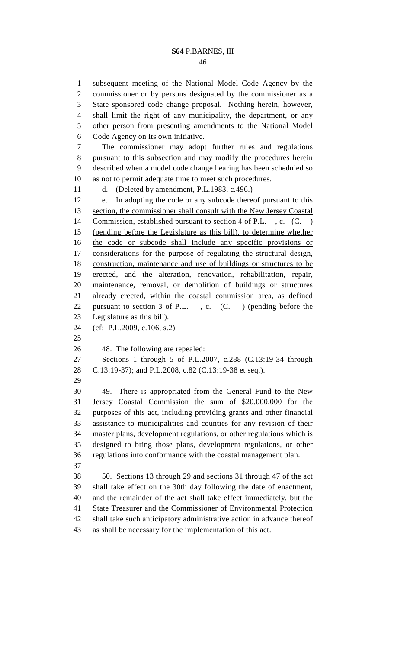46

1 subsequent meeting of the National Model Code Agency by the 2 commissioner or by persons designated by the commissioner as a 3 State sponsored code change proposal. Nothing herein, however, 4 shall limit the right of any municipality, the department, or any 5 other person from presenting amendments to the National Model 6 Code Agency on its own initiative. 7 The commissioner may adopt further rules and regulations 8 pursuant to this subsection and may modify the procedures herein 9 described when a model code change hearing has been scheduled so 10 as not to permit adequate time to meet such procedures. 11 d. (Deleted by amendment, P.L.1983, c.496.) 12 e. In adopting the code or any subcode thereof pursuant to this 13 section, the commissioner shall consult with the New Jersey Coastal 14 Commission, established pursuant to section 4 of P.L., c. (C.) 15 (pending before the Legislature as this bill), to determine whether 16 the code or subcode shall include any specific provisions or 17 considerations for the purpose of regulating the structural design, 18 construction, maintenance and use of buildings or structures to be 19 erected, and the alteration, renovation, rehabilitation, repair, 20 maintenance, removal, or demolition of buildings or structures 21 already erected, within the coastal commission area, as defined 22 pursuant to section 3 of P.L., c. (C.) (pending before the 23 Legislature as this bill). 24 (cf: P.L.2009, c.106, s.2) 25 26 48. The following are repealed: 27 Sections 1 through 5 of P.L.2007, c.288 (C.13:19-34 through 28 C.13:19-37); and P.L.2008, c.82 (C.13:19-38 et seq.). 29 30 49. There is appropriated from the General Fund to the New 31 Jersey Coastal Commission the sum of \$20,000,000 for the 32 purposes of this act, including providing grants and other financial 33 assistance to municipalities and counties for any revision of their 34 master plans, development regulations, or other regulations which is 35 designed to bring those plans, development regulations, or other 36 regulations into conformance with the coastal management plan. 37 38 50. Sections 13 through 29 and sections 31 through 47 of the act 39 shall take effect on the 30th day following the date of enactment, 40 and the remainder of the act shall take effect immediately, but the 41 State Treasurer and the Commissioner of Environmental Protection 42 shall take such anticipatory administrative action in advance thereof 43 as shall be necessary for the implementation of this act.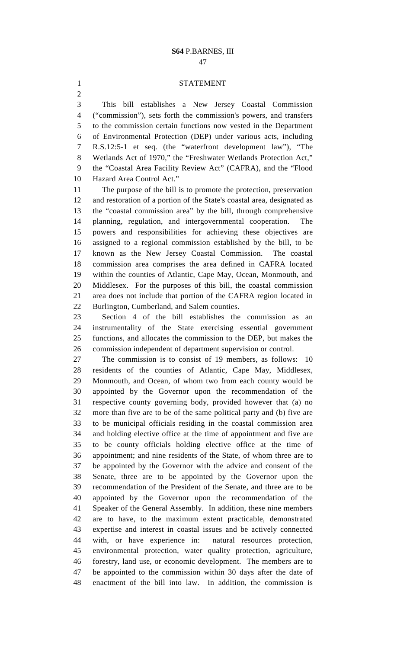#### 1 STATEMENT

3 This bill establishes a New Jersey Coastal Commission 4 ("commission"), sets forth the commission's powers, and transfers 5 to the commission certain functions now vested in the Department 6 of Environmental Protection (DEP) under various acts, including 7 R.S.12:5-1 et seq. (the "waterfront development law"), "The 8 Wetlands Act of 1970," the "Freshwater Wetlands Protection Act," 9 the "Coastal Area Facility Review Act" (CAFRA), and the "Flood 10 Hazard Area Control Act."

11 The purpose of the bill is to promote the protection, preservation 12 and restoration of a portion of the State's coastal area, designated as 13 the "coastal commission area" by the bill, through comprehensive 14 planning, regulation, and intergovernmental cooperation. The 15 powers and responsibilities for achieving these objectives are 16 assigned to a regional commission established by the bill, to be 17 known as the New Jersey Coastal Commission. The coastal 18 commission area comprises the area defined in CAFRA located 19 within the counties of Atlantic, Cape May, Ocean, Monmouth, and 20 Middlesex. For the purposes of this bill, the coastal commission 21 area does not include that portion of the CAFRA region located in 22 Burlington, Cumberland, and Salem counties.

23 Section 4 of the bill establishes the commission as an 24 instrumentality of the State exercising essential government 25 functions, and allocates the commission to the DEP, but makes the 26 commission independent of department supervision or control.

27 The commission is to consist of 19 members, as follows: 10 28 residents of the counties of Atlantic, Cape May, Middlesex, 29 Monmouth, and Ocean, of whom two from each county would be 30 appointed by the Governor upon the recommendation of the 31 respective county governing body, provided however that (a) no 32 more than five are to be of the same political party and (b) five are 33 to be municipal officials residing in the coastal commission area 34 and holding elective office at the time of appointment and five are 35 to be county officials holding elective office at the time of 36 appointment; and nine residents of the State, of whom three are to 37 be appointed by the Governor with the advice and consent of the 38 Senate, three are to be appointed by the Governor upon the 39 recommendation of the President of the Senate, and three are to be 40 appointed by the Governor upon the recommendation of the 41 Speaker of the General Assembly. In addition, these nine members 42 are to have, to the maximum extent practicable, demonstrated 43 expertise and interest in coastal issues and be actively connected 44 with, or have experience in: natural resources protection, 45 environmental protection, water quality protection, agriculture, 46 forestry, land use, or economic development. The members are to 47 be appointed to the commission within 30 days after the date of 48 enactment of the bill into law. In addition, the commission is

2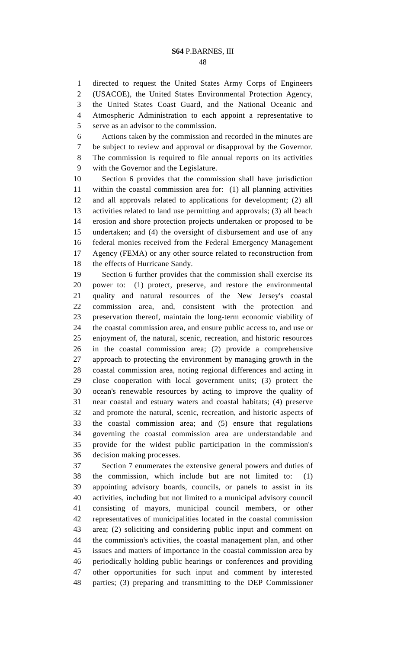48

1 directed to request the United States Army Corps of Engineers 2 (USACOE), the United States Environmental Protection Agency, 3 the United States Coast Guard, and the National Oceanic and 4 Atmospheric Administration to each appoint a representative to 5 serve as an advisor to the commission. 6 Actions taken by the commission and recorded in the minutes are

7 be subject to review and approval or disapproval by the Governor. 8 The commission is required to file annual reports on its activities 9 with the Governor and the Legislature.

10 Section 6 provides that the commission shall have jurisdiction 11 within the coastal commission area for: (1) all planning activities 12 and all approvals related to applications for development; (2) all 13 activities related to land use permitting and approvals; (3) all beach 14 erosion and shore protection projects undertaken or proposed to be 15 undertaken; and (4) the oversight of disbursement and use of any 16 federal monies received from the Federal Emergency Management 17 Agency (FEMA) or any other source related to reconstruction from 18 the effects of Hurricane Sandy.

19 Section 6 further provides that the commission shall exercise its 20 power to: (1) protect, preserve, and restore the environmental 21 quality and natural resources of the New Jersey's coastal 22 commission area, and, consistent with the protection and 23 preservation thereof, maintain the long-term economic viability of 24 the coastal commission area, and ensure public access to, and use or 25 enjoyment of, the natural, scenic, recreation, and historic resources 26 in the coastal commission area; (2) provide a comprehensive 27 approach to protecting the environment by managing growth in the 28 coastal commission area, noting regional differences and acting in 29 close cooperation with local government units; (3) protect the 30 ocean's renewable resources by acting to improve the quality of 31 near coastal and estuary waters and coastal habitats; (4) preserve 32 and promote the natural, scenic, recreation, and historic aspects of 33 the coastal commission area; and (5) ensure that regulations 34 governing the coastal commission area are understandable and 35 provide for the widest public participation in the commission's 36 decision making processes.

37 Section 7 enumerates the extensive general powers and duties of 38 the commission, which include but are not limited to: (1) 39 appointing advisory boards, councils, or panels to assist in its 40 activities, including but not limited to a municipal advisory council 41 consisting of mayors, municipal council members, or other 42 representatives of municipalities located in the coastal commission 43 area; (2) soliciting and considering public input and comment on 44 the commission's activities, the coastal management plan, and other 45 issues and matters of importance in the coastal commission area by 46 periodically holding public hearings or conferences and providing 47 other opportunities for such input and comment by interested 48 parties; (3) preparing and transmitting to the DEP Commissioner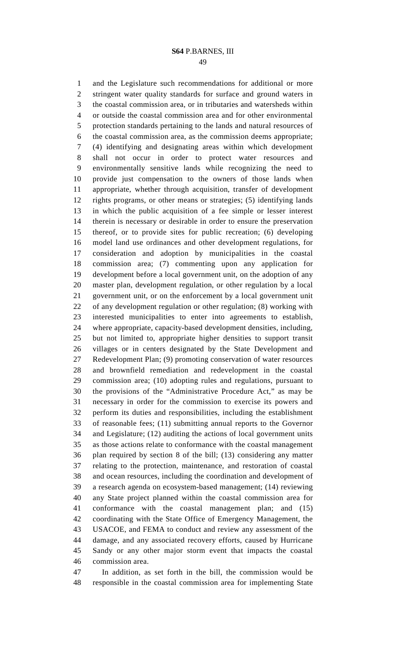1 and the Legislature such recommendations for additional or more 2 stringent water quality standards for surface and ground waters in 3 the coastal commission area, or in tributaries and watersheds within 4 or outside the coastal commission area and for other environmental 5 protection standards pertaining to the lands and natural resources of 6 the coastal commission area, as the commission deems appropriate; 7 (4) identifying and designating areas within which development 8 shall not occur in order to protect water resources and 9 environmentally sensitive lands while recognizing the need to 10 provide just compensation to the owners of those lands when 11 appropriate, whether through acquisition, transfer of development 12 rights programs, or other means or strategies; (5) identifying lands 13 in which the public acquisition of a fee simple or lesser interest 14 therein is necessary or desirable in order to ensure the preservation 15 thereof, or to provide sites for public recreation; (6) developing 16 model land use ordinances and other development regulations, for 17 consideration and adoption by municipalities in the coastal 18 commission area; (7) commenting upon any application for 19 development before a local government unit, on the adoption of any 20 master plan, development regulation, or other regulation by a local 21 government unit, or on the enforcement by a local government unit 22 of any development regulation or other regulation; (8) working with 23 interested municipalities to enter into agreements to establish, 24 where appropriate, capacity-based development densities, including, 25 but not limited to, appropriate higher densities to support transit 26 villages or in centers designated by the State Development and 27 Redevelopment Plan; (9) promoting conservation of water resources 28 and brownfield remediation and redevelopment in the coastal 29 commission area; (10) adopting rules and regulations, pursuant to 30 the provisions of the "Administrative Procedure Act," as may be 31 necessary in order for the commission to exercise its powers and 32 perform its duties and responsibilities, including the establishment 33 of reasonable fees; (11) submitting annual reports to the Governor 34 and Legislature; (12) auditing the actions of local government units 35 as those actions relate to conformance with the coastal management 36 plan required by section 8 of the bill; (13) considering any matter 37 relating to the protection, maintenance, and restoration of coastal 38 and ocean resources, including the coordination and development of 39 a research agenda on ecosystem-based management; (14) reviewing 40 any State project planned within the coastal commission area for 41 conformance with the coastal management plan; and (15) 42 coordinating with the State Office of Emergency Management, the 43 USACOE, and FEMA to conduct and review any assessment of the 44 damage, and any associated recovery efforts, caused by Hurricane 45 Sandy or any other major storm event that impacts the coastal 46 commission area.

47 In addition, as set forth in the bill, the commission would be 48 responsible in the coastal commission area for implementing State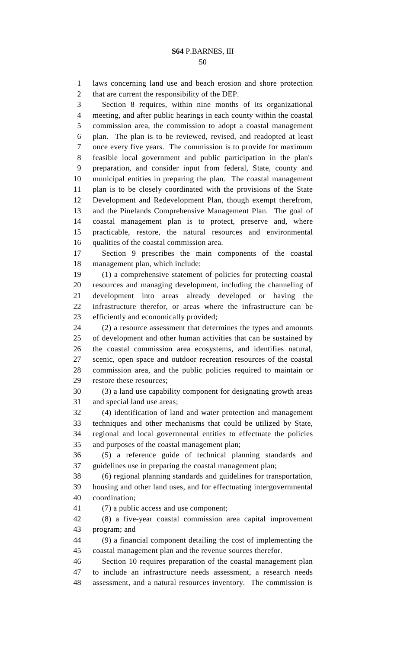1 laws concerning land use and beach erosion and shore protection

2 that are current the responsibility of the DEP. 3 Section 8 requires, within nine months of its organizational 4 meeting, and after public hearings in each county within the coastal 5 commission area, the commission to adopt a coastal management 6 plan. The plan is to be reviewed, revised, and readopted at least 7 once every five years. The commission is to provide for maximum 8 feasible local government and public participation in the plan's 9 preparation, and consider input from federal, State, county and 10 municipal entities in preparing the plan. The coastal management 11 plan is to be closely coordinated with the provisions of the State 12 Development and Redevelopment Plan, though exempt therefrom, 13 and the Pinelands Comprehensive Management Plan. The goal of 14 coastal management plan is to protect, preserve and, where 15 practicable, restore, the natural resources and environmental 16 qualities of the coastal commission area. 17 Section 9 prescribes the main components of the coastal 18 management plan, which include: 19 (1) a comprehensive statement of policies for protecting coastal 20 resources and managing development, including the channeling of 21 development into areas already developed or having the 22 infrastructure therefor, or areas where the infrastructure can be 23 efficiently and economically provided; 24 (2) a resource assessment that determines the types and amounts 25 of development and other human activities that can be sustained by 26 the coastal commission area ecosystems, and identifies natural, 27 scenic, open space and outdoor recreation resources of the coastal 28 commission area, and the public policies required to maintain or

- 29 restore these resources;
- 30 (3) a land use capability component for designating growth areas 31 and special land use areas;

32 (4) identification of land and water protection and management 33 techniques and other mechanisms that could be utilized by State, 34 regional and local governnental entities to effectuate the policies 35 and purposes of the coastal management plan;

36 (5) a reference guide of technical planning standards and 37 guidelines use in preparing the coastal management plan;

38 (6) regional planning standards and guidelines for transportation, 39 housing and other land uses, and for effectuating intergovernmental 40 coordination;

41 (7) a public access and use component;

42 (8) a five-year coastal commission area capital improvement 43 program; and

44 (9) a financial component detailing the cost of implementing the 45 coastal management plan and the revenue sources therefor.

46 Section 10 requires preparation of the coastal management plan 47 to include an infrastructure needs assessment, a research needs 48 assessment, and a natural resources inventory. The commission is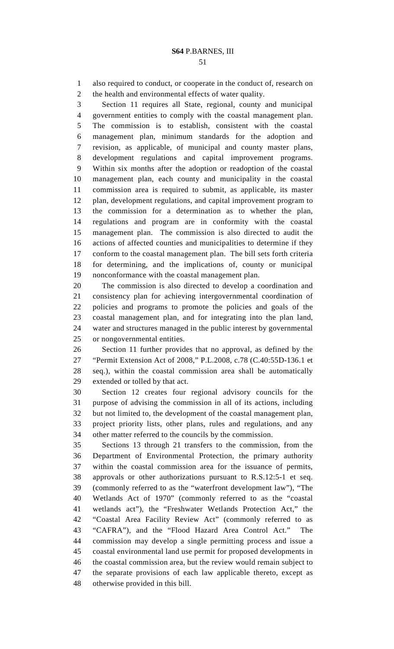1 also required to conduct, or cooperate in the conduct of, research on 2 the health and environmental effects of water quality.

3 Section 11 requires all State, regional, county and municipal 4 government entities to comply with the coastal management plan. 5 The commission is to establish, consistent with the coastal 6 management plan, minimum standards for the adoption and 7 revision, as applicable, of municipal and county master plans, 8 development regulations and capital improvement programs. 9 Within six months after the adoption or readoption of the coastal 10 management plan, each county and municipality in the coastal 11 commission area is required to submit, as applicable, its master 12 plan, development regulations, and capital improvement program to 13 the commission for a determination as to whether the plan, 14 regulations and program are in conformity with the coastal 15 management plan. The commission is also directed to audit the 16 actions of affected counties and municipalities to determine if they 17 conform to the coastal management plan. The bill sets forth criteria 18 for determining, and the implications of, county or municipal 19 nonconformance with the coastal management plan.

20 The commission is also directed to develop a coordination and 21 consistency plan for achieving intergovernmental coordination of 22 policies and programs to promote the policies and goals of the 23 coastal management plan, and for integrating into the plan land, 24 water and structures managed in the public interest by governmental 25 or nongovernmental entities.

26 Section 11 further provides that no approval, as defined by the 27 "Permit Extension Act of 2008," P.L.2008, c.78 (C.40:55D-136.1 et 28 seq.), within the coastal commission area shall be automatically 29 extended or tolled by that act.

30 Section 12 creates four regional advisory councils for the 31 purpose of advising the commission in all of its actions, including 32 but not limited to, the development of the coastal management plan, 33 project priority lists, other plans, rules and regulations, and any 34 other matter referred to the councils by the commission.

35 Sections 13 through 21 transfers to the commission, from the 36 Department of Environmental Protection, the primary authority 37 within the coastal commission area for the issuance of permits, 38 approvals or other authorizations pursuant to R.S.12:5-1 et seq. 39 (commonly referred to as the "waterfront development law"), "The 40 Wetlands Act of 1970" (commonly referred to as the "coastal 41 wetlands act"), the "Freshwater Wetlands Protection Act," the 42 "Coastal Area Facility Review Act" (commonly referred to as 43 "CAFRA"), and the "Flood Hazard Area Control Act." The 44 commission may develop a single permitting process and issue a 45 coastal environmental land use permit for proposed developments in 46 the coastal commission area, but the review would remain subject to 47 the separate provisions of each law applicable thereto, except as 48 otherwise provided in this bill.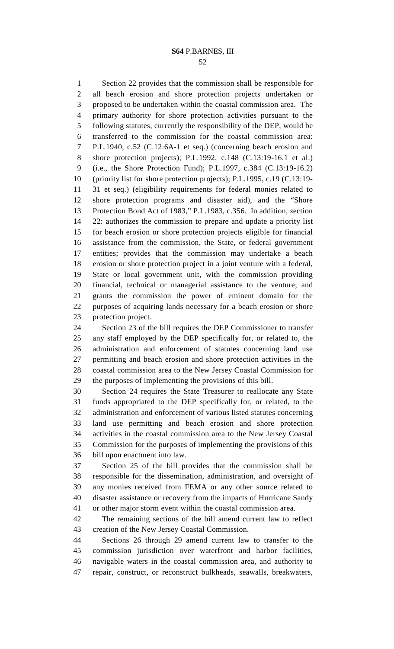52

1 Section 22 provides that the commission shall be responsible for 2 all beach erosion and shore protection projects undertaken or 3 proposed to be undertaken within the coastal commission area. The 4 primary authority for shore protection activities pursuant to the 5 following statutes, currently the responsibility of the DEP, would be 6 transferred to the commission for the coastal commission area: 7 P.L.1940, c.52 (C.12:6A-1 et seq.) (concerning beach erosion and 8 shore protection projects); P.L.1992, c.148 (C.13:19-16.1 et al.) 9 (i.e., the Shore Protection Fund); P.L.1997, c.384 (C.13:19-16.2) 10 (priority list for shore protection projects); P.L.1995, c.19 (C.13:19- 11 31 et seq.) (eligibility requirements for federal monies related to 12 shore protection programs and disaster aid), and the "Shore 13 Protection Bond Act of 1983," P.L.1983, c.356. In addition, *s*ection 14 22: authorizes the commission to prepare and update a priority list 15 for beach erosion or shore protection projects eligible for financial 16 assistance from the commission, the State, or federal government 17 entities; provides that the commission may undertake a beach 18 erosion or shore protection project in a joint venture with a federal, 19 State or local government unit, with the commission providing 20 financial, technical or managerial assistance to the venture; and 21 grants the commission the power of eminent domain for the 22 purposes of acquiring lands necessary for a beach erosion or shore 23 protection project.

24 Section 23 of the bill requires the DEP Commissioner to transfer 25 any staff employed by the DEP specifically for, or related to, the 26 administration and enforcement of statutes concerning land use 27 permitting and beach erosion and shore protection activities in the 28 coastal commission area to the New Jersey Coastal Commission for 29 the purposes of implementing the provisions of this bill.

30 Section 24 requires the State Treasurer to reallocate any State 31 funds appropriated to the DEP specifically for, or related, to the 32 administration and enforcement of various listed statutes concerning 33 land use permitting and beach erosion and shore protection 34 activities in the coastal commission area to the New Jersey Coastal 35 Commission for the purposes of implementing the provisions of this 36 bill upon enactment into law.

37 Section 25 of the bill provides that the commission shall be 38 responsible for the dissemination, administration, and oversight of 39 any monies received from FEMA or any other source related to 40 disaster assistance or recovery from the impacts of Hurricane Sandy 41 or other major storm event within the coastal commission area.

42 The remaining sections of the bill amend current law to reflect 43 creation of the New Jersey Coastal Commission.

44 Sections 26 through 29 amend current law to transfer to the 45 commission jurisdiction over waterfront and harbor facilities, 46 navigable waters in the coastal commission area, and authority to 47 repair, construct, or reconstruct bulkheads, seawalls, breakwaters,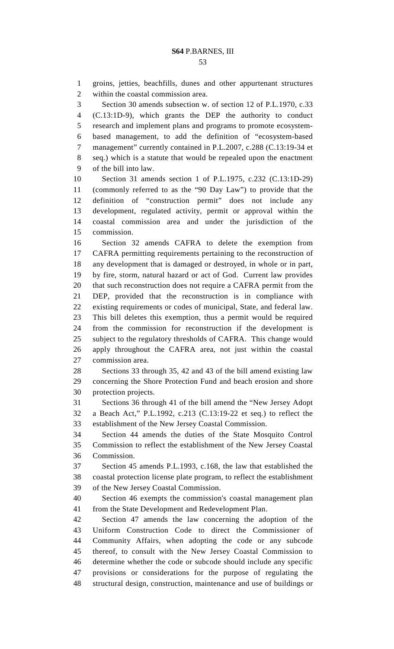1 groins, jetties, beachfills, dunes and other appurtenant structures 2 within the coastal commission area.

3 Section 30 amends subsection w. of section 12 of P.L.1970, c.33 4 (C.13:1D-9), which grants the DEP the authority to conduct 5 research and implement plans and programs to promote ecosystem-6 based management, to add the definition of "ecosystem-based 7 management" currently contained in P.L.2007, c.288 (C.13:19-34 et 8 seq.) which is a statute that would be repealed upon the enactment 9 of the bill into law.

10 Section 31 amends section 1 of P.L.1975, c.232 (C.13:1D-29) 11 (commonly referred to as the "90 Day Law") to provide that the 12 definition of "construction permit" does not include any 13 development, regulated activity, permit or approval within the 14 coastal commission area and under the jurisdiction of the 15 commission.

16 Section 32 amends CAFRA to delete the exemption from 17 CAFRA permitting requirements pertaining to the reconstruction of 18 any development that is damaged or destroyed, in whole or in part, 19 by fire, storm, natural hazard or act of God. Current law provides 20 that such reconstruction does not require a CAFRA permit from the 21 DEP, provided that the reconstruction is in compliance with 22 existing requirements or codes of municipal, State, and federal law. 23 This bill deletes this exemption, thus a permit would be required 24 from the commission for reconstruction if the development is 25 subject to the regulatory thresholds of CAFRA. This change would 26 apply throughout the CAFRA area, not just within the coastal 27 commission area.

28 Sections 33 through 35, 42 and 43 of the bill amend existing law 29 concerning the Shore Protection Fund and beach erosion and shore 30 protection projects.

31 Sections 36 through 41 of the bill amend the "New Jersey Adopt 32 a Beach Act," P.L.1992, c.213 (C.13:19-22 et seq.) to reflect the 33 establishment of the New Jersey Coastal Commission.

34 Section 44 amends the duties of the State Mosquito Control 35 Commission to reflect the establishment of the New Jersey Coastal 36 Commission.

37 Section 45 amends P.L.1993, c.168, the law that established the 38 coastal protection license plate program, to reflect the establishment 39 of the New Jersey Coastal Commission.

40 Section 46 exempts the commission's coastal management plan 41 from the State Development and Redevelopment Plan.

42 Section 47 amends the law concerning the adoption of the 43 Uniform Construction Code to direct the Commissioner of 44 Community Affairs, when adopting the code or any subcode 45 thereof, to consult with the New Jersey Coastal Commission to 46 determine whether the code or subcode should include any specific 47 provisions or considerations for the purpose of regulating the 48 structural design, construction, maintenance and use of buildings or